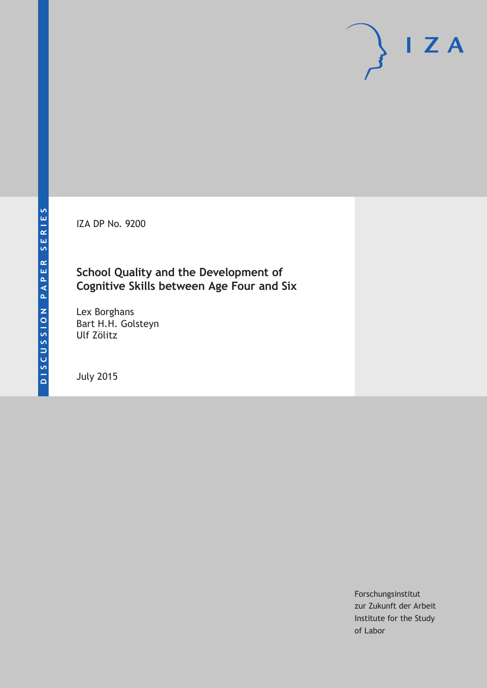IZA DP No. 9200

## **School Quality and the Development of Cognitive Skills between Age Four and Six**

Lex Borghans Bart H.H. Golsteyn Ulf Zölitz

July 2015

Forschungsinstitut zur Zukunft der Arbeit Institute for the Study of Labor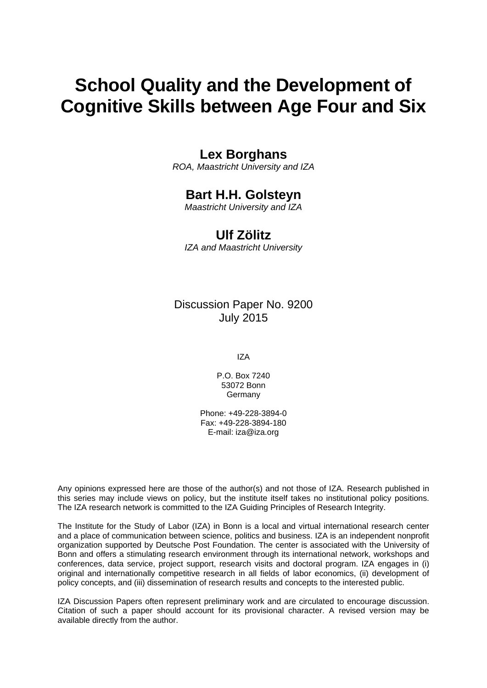# **School Quality and the Development of Cognitive Skills between Age Four and Six**

## **Lex Borghans**

*ROA, Maastricht University and IZA* 

## **Bart H.H. Golsteyn**

*Maastricht University and IZA* 

## **Ulf Zölitz**

*IZA and Maastricht University*

Discussion Paper No. 9200 July 2015

IZA

P.O. Box 7240 53072 Bonn Germany

Phone: +49-228-3894-0 Fax: +49-228-3894-180 E-mail: iza@iza.org

Any opinions expressed here are those of the author(s) and not those of IZA. Research published in this series may include views on policy, but the institute itself takes no institutional policy positions. The IZA research network is committed to the IZA Guiding Principles of Research Integrity.

The Institute for the Study of Labor (IZA) in Bonn is a local and virtual international research center and a place of communication between science, politics and business. IZA is an independent nonprofit organization supported by Deutsche Post Foundation. The center is associated with the University of Bonn and offers a stimulating research environment through its international network, workshops and conferences, data service, project support, research visits and doctoral program. IZA engages in (i) original and internationally competitive research in all fields of labor economics, (ii) development of policy concepts, and (iii) dissemination of research results and concepts to the interested public.

IZA Discussion Papers often represent preliminary work and are circulated to encourage discussion. Citation of such a paper should account for its provisional character. A revised version may be available directly from the author.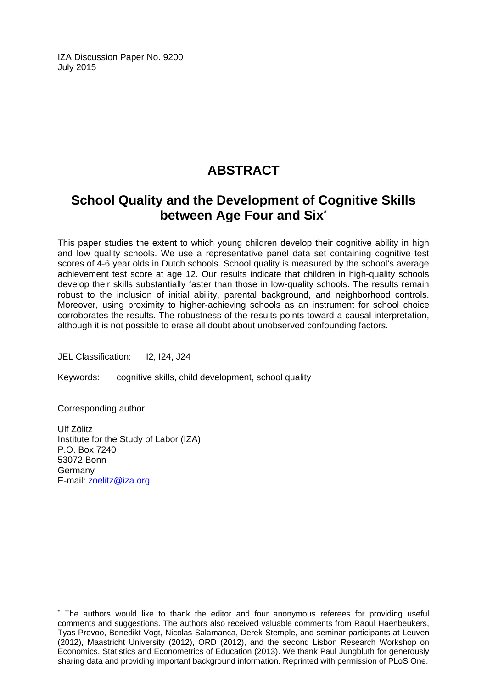IZA Discussion Paper No. 9200 July 2015

## **ABSTRACT**

## **School Quality and the Development of Cognitive Skills between Age Four and Six\***

This paper studies the extent to which young children develop their cognitive ability in high and low quality schools. We use a representative panel data set containing cognitive test scores of 4-6 year olds in Dutch schools. School quality is measured by the school's average achievement test score at age 12. Our results indicate that children in high-quality schools develop their skills substantially faster than those in low-quality schools. The results remain robust to the inclusion of initial ability, parental background, and neighborhood controls. Moreover, using proximity to higher-achieving schools as an instrument for school choice corroborates the results. The robustness of the results points toward a causal interpretation, although it is not possible to erase all doubt about unobserved confounding factors.

JEL Classification: I2, I24, J24

Keywords: cognitive skills, child development, school quality

Corresponding author:

 $\overline{a}$ 

Ulf Zölitz Institute for the Study of Labor (IZA) P.O. Box 7240 53072 Bonn Germany E-mail: zoelitz@iza.org

<sup>\*</sup> The authors would like to thank the editor and four anonymous referees for providing useful comments and suggestions. The authors also received valuable comments from Raoul Haenbeukers, Tyas Prevoo, Benedikt Vogt, Nicolas Salamanca, Derek Stemple, and seminar participants at Leuven (2012), Maastricht University (2012), ORD (2012), and the second Lisbon Research Workshop on Economics, Statistics and Econometrics of Education (2013). We thank Paul Jungbluth for generously sharing data and providing important background information. Reprinted with permission of PLoS One.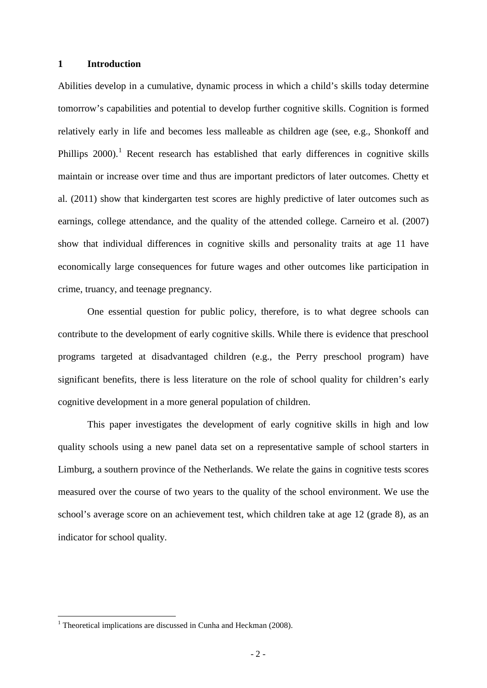#### **1 Introduction**

Abilities develop in a cumulative, dynamic process in which a child's skills today determine tomorrow's capabilities and potential to develop further cognitive skills. Cognition is formed relatively early in life and becomes less malleable as children age (see, e.g., Shonkoff and Phillips  $2000$ <sup>1</sup>. Recent research has established that early differences in cognitive skills maintain or increase over time and thus are important predictors of later outcomes. Chetty et al. (2011) show that kindergarten test scores are highly predictive of later outcomes such as earnings, college attendance, and the quality of the attended college. Carneiro et al. (2007) show that individual differences in cognitive skills and personality traits at age 11 have economically large consequences for future wages and other outcomes like participation in crime, truancy, and teenage pregnancy.

One essential question for public policy, therefore, is to what degree schools can contribute to the development of early cognitive skills. While there is evidence that preschool programs targeted at disadvantaged children (e.g., the Perry preschool program) have significant benefits, there is less literature on the role of school quality for children's early cognitive development in a more general population of children.

This paper investigates the development of early cognitive skills in high and low quality schools using a new panel data set on a representative sample of school starters in Limburg, a southern province of the Netherlands. We relate the gains in cognitive tests scores measured over the course of two years to the quality of the school environment. We use the school's average score on an achievement test, which children take at age 12 (grade 8), as an indicator for school quality.

<span id="page-3-0"></span><sup>&</sup>lt;sup>1</sup> Theoretical implications are discussed in Cunha and Heckman (2008).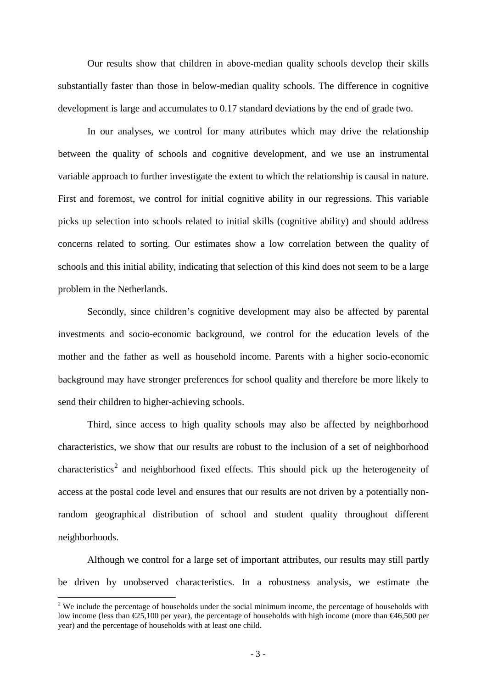Our results show that children in above-median quality schools develop their skills substantially faster than those in below-median quality schools. The difference in cognitive development is large and accumulates to 0.17 standard deviations by the end of grade two.

In our analyses, we control for many attributes which may drive the relationship between the quality of schools and cognitive development, and we use an instrumental variable approach to further investigate the extent to which the relationship is causal in nature. First and foremost, we control for initial cognitive ability in our regressions. This variable picks up selection into schools related to initial skills (cognitive ability) and should address concerns related to sorting. Our estimates show a low correlation between the quality of schools and this initial ability, indicating that selection of this kind does not seem to be a large problem in the Netherlands.

Secondly, since children's cognitive development may also be affected by parental investments and socio-economic background, we control for the education levels of the mother and the father as well as household income. Parents with a higher socio-economic background may have stronger preferences for school quality and therefore be more likely to send their children to higher-achieving schools.

Third, since access to high quality schools may also be affected by neighborhood characteristics, we show that our results are robust to the inclusion of a set of neighborhood characteristics<sup>[2](#page-3-0)</sup> and neighborhood fixed effects. This should pick up the heterogeneity of access at the postal code level and ensures that our results are not driven by a potentially nonrandom geographical distribution of school and student quality throughout different neighborhoods.

<span id="page-4-0"></span>Although we control for a large set of important attributes, our results may still partly be driven by unobserved characteristics. In a robustness analysis, we estimate the

<sup>&</sup>lt;sup>2</sup> We include the percentage of households under the social minimum income, the percentage of households with low income (less than €25,100 per year), the percentage of households with high income (more than €46,500 per year) and the percentage of households with at least one child.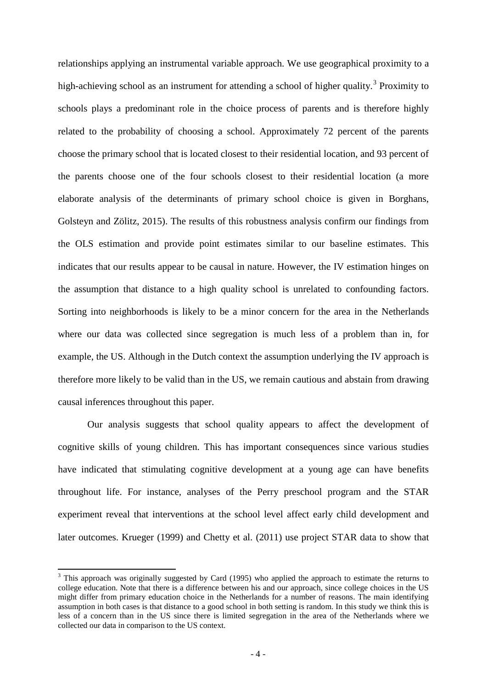relationships applying an instrumental variable approach. We use geographical proximity to a high-achieving school as an instrument for attending a school of higher quality.<sup>[3](#page-4-0)</sup> Proximity to schools plays a predominant role in the choice process of parents and is therefore highly related to the probability of choosing a school. Approximately 72 percent of the parents choose the primary school that is located closest to their residential location, and 93 percent of the parents choose one of the four schools closest to their residential location (a more elaborate analysis of the determinants of primary school choice is given in Borghans, Golsteyn and Zölitz, 2015). The results of this robustness analysis confirm our findings from the OLS estimation and provide point estimates similar to our baseline estimates. This indicates that our results appear to be causal in nature. However, the IV estimation hinges on the assumption that distance to a high quality school is unrelated to confounding factors. Sorting into neighborhoods is likely to be a minor concern for the area in the Netherlands where our data was collected since segregation is much less of a problem than in, for example, the US. Although in the Dutch context the assumption underlying the IV approach is therefore more likely to be valid than in the US, we remain cautious and abstain from drawing causal inferences throughout this paper.

Our analysis suggests that school quality appears to affect the development of cognitive skills of young children. This has important consequences since various studies have indicated that stimulating cognitive development at a young age can have benefits throughout life. For instance, analyses of the Perry preschool program and the STAR experiment reveal that interventions at the school level affect early child development and later outcomes. Krueger (1999) and Chetty et al. (2011) use project STAR data to show that

<span id="page-5-0"></span><sup>&</sup>lt;sup>3</sup> This approach was originally suggested by Card (1995) who applied the approach to estimate the returns to college education. Note that there is a difference between his and our approach, since college choices in the US might differ from primary education choice in the Netherlands for a number of reasons. The main identifying assumption in both cases is that distance to a good school in both setting is random. In this study we think this is less of a concern than in the US since there is limited segregation in the area of the Netherlands where we collected our data in comparison to the US context.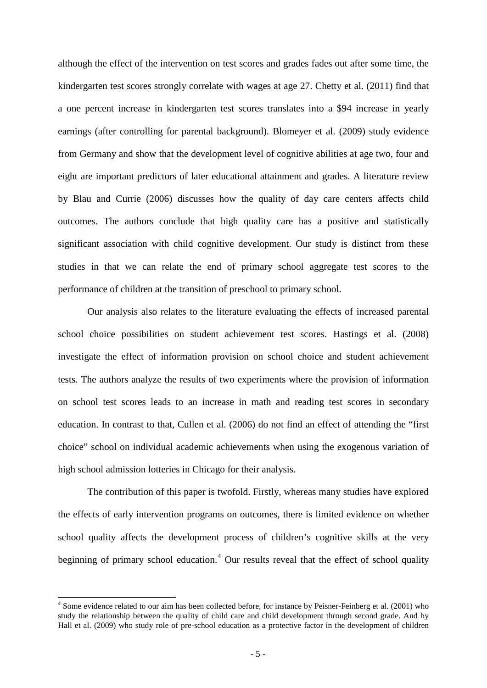although the effect of the intervention on test scores and grades fades out after some time, the kindergarten test scores strongly correlate with wages at age 27. Chetty et al. (2011) find that a one percent increase in kindergarten test scores translates into a \$94 increase in yearly earnings (after controlling for parental background). Blomeyer et al. (2009) study evidence from Germany and show that the development level of cognitive abilities at age two, four and eight are important predictors of later educational attainment and grades. A literature review by Blau and Currie (2006) discusses how the quality of day care centers affects child outcomes. The authors conclude that high quality care has a positive and statistically significant association with child cognitive development. Our study is distinct from these studies in that we can relate the end of primary school aggregate test scores to the performance of children at the transition of preschool to primary school.

Our analysis also relates to the literature evaluating the effects of increased parental school choice possibilities on student achievement test scores. Hastings et al. (2008) investigate the effect of information provision on school choice and student achievement tests. The authors analyze the results of two experiments where the provision of information on school test scores leads to an increase in math and reading test scores in secondary education. In contrast to that, Cullen et al. (2006) do not find an effect of attending the "first choice" school on individual academic achievements when using the exogenous variation of high school admission lotteries in Chicago for their analysis.

The contribution of this paper is twofold. Firstly, whereas many studies have explored the effects of early intervention programs on outcomes, there is limited evidence on whether school quality affects the development process of children's cognitive skills at the very beginning of primary school education.<sup>[4](#page-5-0)</sup> Our results reveal that the effect of school quality

<span id="page-6-0"></span><sup>&</sup>lt;sup>4</sup> Some evidence related to our aim has been collected before, for instance by Peisner-Feinberg et al. (2001) who study the relationship between the quality of child care and child development through second grade. And by Hall et al. (2009) who study role of pre‐school education as a protective factor in the development of children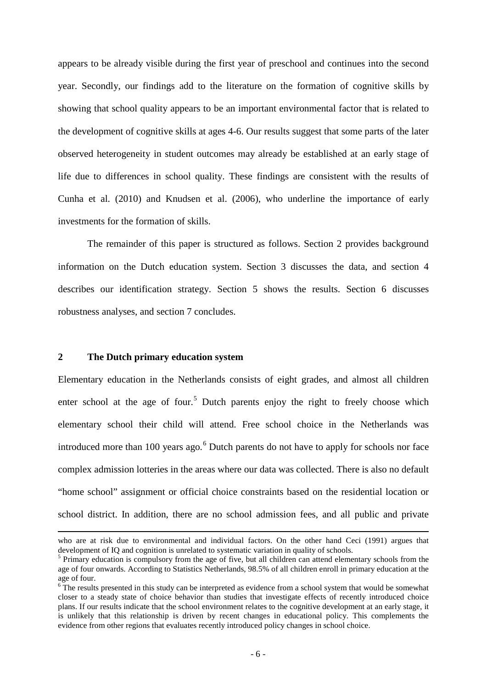appears to be already visible during the first year of preschool and continues into the second year. Secondly, our findings add to the literature on the formation of cognitive skills by showing that school quality appears to be an important environmental factor that is related to the development of cognitive skills at ages 4-6. Our results suggest that some parts of the later observed heterogeneity in student outcomes may already be established at an early stage of life due to differences in school quality. These findings are consistent with the results of Cunha et al. (2010) and Knudsen et al. (2006), who underline the importance of early investments for the formation of skills.

The remainder of this paper is structured as follows. Section 2 provides background information on the Dutch education system. Section 3 discusses the data, and section 4 describes our identification strategy. Section 5 shows the results. Section 6 discusses robustness analyses, and section 7 concludes.

#### **2 The Dutch primary education system**

**.** 

Elementary education in the Netherlands consists of eight grades, and almost all children enter school at the age of four.<sup>[5](#page-6-0)</sup> Dutch parents enjoy the right to freely choose which elementary school their child will attend. Free school choice in the Netherlands was introduced more than 100 years ago.<sup>[6](#page-7-0)</sup> Dutch parents do not have to apply for schools nor face complex admission lotteries in the areas where our data was collected. There is also no default "home school" assignment or official choice constraints based on the residential location or school district. In addition, there are no school admission fees, and all public and private

who are at risk due to environmental and individual factors. On the other hand Ceci (1991) argues that development of IQ and cognition is unrelated to systematic variation in quality of schools.

 $\frac{1}{2}$  Primary education is compulsory from the age of five, but all children can attend elementary schools from the age of four onwards. According to Statistics Netherlands, 98.5% of all children enroll in primary education at the age of four.

<span id="page-7-1"></span><span id="page-7-0"></span><sup>&</sup>lt;sup>6</sup> The results presented in this study can be interpreted as evidence from a school system that would be somewhat closer to a steady state of choice behavior than studies that investigate effects of recently introduced choice plans. If our results indicate that the school environment relates to the cognitive development at an early stage, it is unlikely that this relationship is driven by recent changes in educational policy. This complements the evidence from other regions that evaluates recently introduced policy changes in school choice.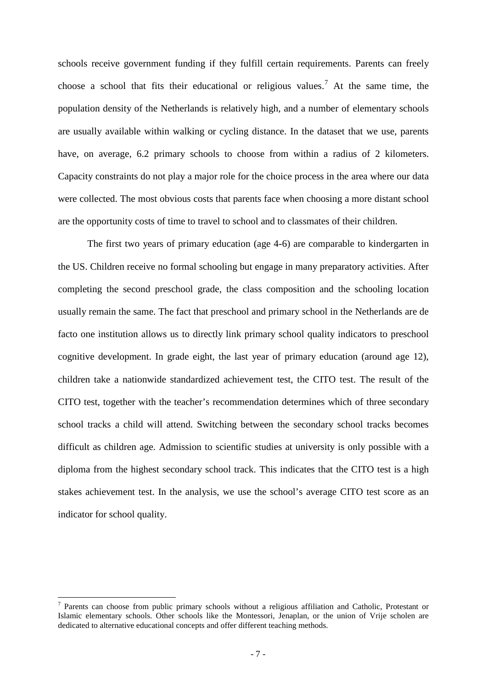schools receive government funding if they fulfill certain requirements. Parents can freely choose a school that fits their educational or religious values.<sup>[7](#page-7-1)</sup> At the same time, the population density of the Netherlands is relatively high, and a number of elementary schools are usually available within walking or cycling distance. In the dataset that we use, parents have, on average, 6.2 primary schools to choose from within a radius of 2 kilometers. Capacity constraints do not play a major role for the choice process in the area where our data were collected. The most obvious costs that parents face when choosing a more distant school are the opportunity costs of time to travel to school and to classmates of their children.

The first two years of primary education (age 4-6) are comparable to kindergarten in the US. Children receive no formal schooling but engage in many preparatory activities. After completing the second preschool grade, the class composition and the schooling location usually remain the same. The fact that preschool and primary school in the Netherlands are de facto one institution allows us to directly link primary school quality indicators to preschool cognitive development. In grade eight, the last year of primary education (around age 12), children take a nationwide standardized achievement test, the CITO test. The result of the CITO test, together with the teacher's recommendation determines which of three secondary school tracks a child will attend. Switching between the secondary school tracks becomes difficult as children age. Admission to scientific studies at university is only possible with a diploma from the highest secondary school track. This indicates that the CITO test is a high stakes achievement test. In the analysis, we use the school's average CITO test score as an indicator for school quality.

<span id="page-8-0"></span><sup>7</sup> Parents can choose from public primary schools without a religious affiliation and Catholic, Protestant or Islamic elementary schools. Other schools like the Montessori, Jenaplan, or the union of Vrije scholen are dedicated to alternative educational concepts and offer different teaching methods.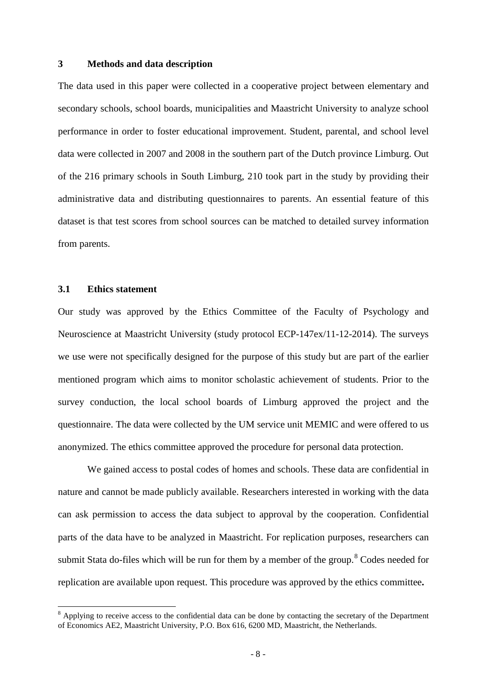#### **3 Methods and data description**

The data used in this paper were collected in a cooperative project between elementary and secondary schools, school boards, municipalities and Maastricht University to analyze school performance in order to foster educational improvement. Student, parental, and school level data were collected in 2007 and 2008 in the southern part of the Dutch province Limburg. Out of the 216 primary schools in South Limburg, 210 took part in the study by providing their administrative data and distributing questionnaires to parents. An essential feature of this dataset is that test scores from school sources can be matched to detailed survey information from parents.

#### **3.1 Ethics statement**

Our study was approved by the Ethics Committee of the Faculty of Psychology and Neuroscience at Maastricht University (study protocol ECP-147ex/11-12-2014). The surveys we use were not specifically designed for the purpose of this study but are part of the earlier mentioned program which aims to monitor scholastic achievement of students. Prior to the survey conduction, the local school boards of Limburg approved the project and the questionnaire. The data were collected by the UM service unit MEMIC and were offered to us anonymized. The ethics committee approved the procedure for personal data protection.

We gained access to postal codes of homes and schools. These data are confidential in nature and cannot be made publicly available. Researchers interested in working with the data can ask permission to access the data subject to approval by the cooperation. Confidential parts of the data have to be analyzed in Maastricht. For replication purposes, researchers can submit Stata do-files which will be run for them by a member of the group.<sup>[8](#page-8-0)</sup> Codes needed for replication are available upon request. This procedure was approved by the ethics committee**.**

<span id="page-9-0"></span><sup>&</sup>lt;sup>8</sup> Applying to receive access to the confidential data can be done by contacting the secretary of the Department of Economics AE2, Maastricht University, P.O. Box 616, 6200 MD, Maastricht, the Netherlands.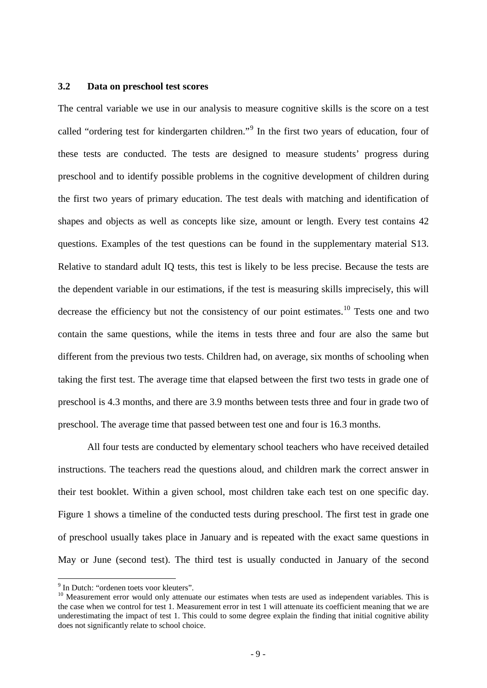#### **3.2 Data on preschool test scores**

The central variable we use in our analysis to measure cognitive skills is the score on a test called "ordering test for kindergarten children."[9](#page-9-0) In the first two years of education, four of these tests are conducted. The tests are designed to measure students' progress during preschool and to identify possible problems in the cognitive development of children during the first two years of primary education. The test deals with matching and identification of shapes and objects as well as concepts like size, amount or length. Every test contains 42 questions. Examples of the test questions can be found in the supplementary material S13. Relative to standard adult IQ tests, this test is likely to be less precise. Because the tests are the dependent variable in our estimations, if the test is measuring skills imprecisely, this will decrease the efficiency but not the consistency of our point estimates.<sup>[10](#page-10-0)</sup> Tests one and two contain the same questions, while the items in tests three and four are also the same but different from the previous two tests. Children had, on average, six months of schooling when taking the first test. The average time that elapsed between the first two tests in grade one of preschool is 4.3 months, and there are 3.9 months between tests three and four in grade two of preschool. The average time that passed between test one and four is 16.3 months.

All four tests are conducted by elementary school teachers who have received detailed instructions. The teachers read the questions aloud, and children mark the correct answer in their test booklet. Within a given school, most children take each test on one specific day. Figure 1 shows a timeline of the conducted tests during preschool. The first test in grade one of preschool usually takes place in January and is repeated with the exact same questions in May or June (second test). The third test is usually conducted in January of the second

<sup>&</sup>lt;sup>9</sup> In Dutch: "ordenen toets voor kleuters".

<span id="page-10-1"></span><span id="page-10-0"></span><sup>&</sup>lt;sup>10</sup> Measurement error would only attenuate our estimates when tests are used as independent variables. This is the case when we control for test 1. Measurement error in test 1 will attenuate its coefficient meaning that we are underestimating the impact of test 1. This could to some degree explain the finding that initial cognitive ability does not significantly relate to school choice.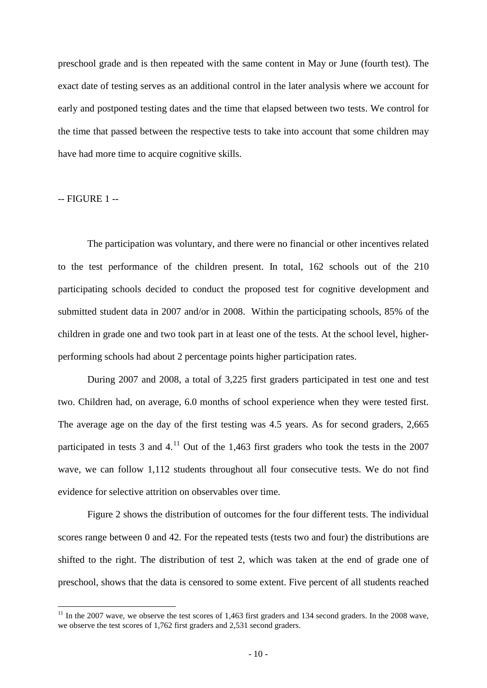preschool grade and is then repeated with the same content in May or June (fourth test). The exact date of testing serves as an additional control in the later analysis where we account for early and postponed testing dates and the time that elapsed between two tests. We control for the time that passed between the respective tests to take into account that some children may have had more time to acquire cognitive skills.

-- FIGURE 1 --

The participation was voluntary, and there were no financial or other incentives related to the test performance of the children present. In total, 162 schools out of the 210 participating schools decided to conduct the proposed test for cognitive development and submitted student data in 2007 and/or in 2008. Within the participating schools, 85% of the children in grade one and two took part in at least one of the tests. At the school level, higherperforming schools had about 2 percentage points higher participation rates.

During 2007 and 2008, a total of 3,225 first graders participated in test one and test two. Children had, on average, 6.0 months of school experience when they were tested first. The average age on the day of the first testing was 4.5 years. As for second graders, 2,665 participated in tests 3 and  $4<sup>11</sup>$  $4<sup>11</sup>$  $4<sup>11</sup>$  Out of the 1,463 first graders who took the tests in the 2007 wave, we can follow 1,112 students throughout all four consecutive tests. We do not find evidence for selective attrition on observables over time.

<span id="page-11-0"></span>Figure 2 shows the distribution of outcomes for the four different tests. The individual scores range between 0 and 42. For the repeated tests (tests two and four) the distributions are shifted to the right. The distribution of test 2, which was taken at the end of grade one of preschool, shows that the data is censored to some extent. Five percent of all students reached

 $11$  In the 2007 wave, we observe the test scores of 1,463 first graders and 134 second graders. In the 2008 wave, we observe the test scores of 1,762 first graders and 2,531 second graders.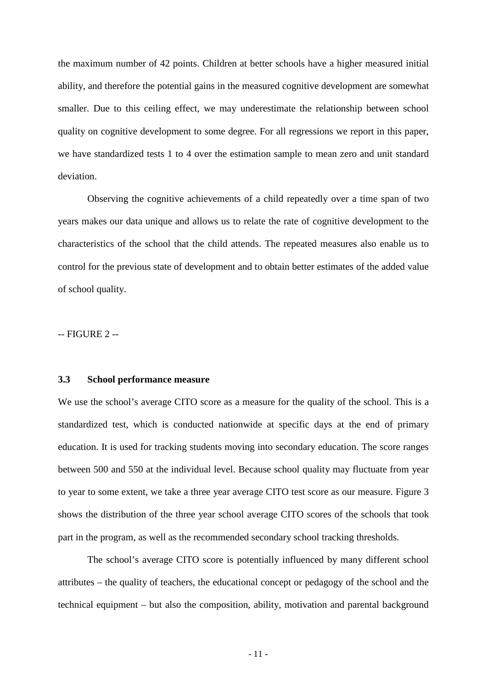the maximum number of 42 points. Children at better schools have a higher measured initial ability, and therefore the potential gains in the measured cognitive development are somewhat smaller. Due to this ceiling effect, we may underestimate the relationship between school quality on cognitive development to some degree. For all regressions we report in this paper, we have standardized tests 1 to 4 over the estimation sample to mean zero and unit standard deviation.

Observing the cognitive achievements of a child repeatedly over a time span of two years makes our data unique and allows us to relate the rate of cognitive development to the characteristics of the school that the child attends. The repeated measures also enable us to control for the previous state of development and to obtain better estimates of the added value of school quality.

-- FIGURE 2 --

#### **3.3 School performance measure**

We use the school's average CITO score as a measure for the quality of the school. This is a standardized test, which is conducted nationwide at specific days at the end of primary education. It is used for tracking students moving into secondary education. The score ranges between 500 and 550 at the individual level. Because school quality may fluctuate from year to year to some extent, we take a three year average CITO test score as our measure. Figure 3 shows the distribution of the three year school average CITO scores of the schools that took part in the program, as well as the recommended secondary school tracking thresholds.

The school's average CITO score is potentially influenced by many different school attributes – the quality of teachers, the educational concept or pedagogy of the school and the technical equipment – but also the composition, ability, motivation and parental background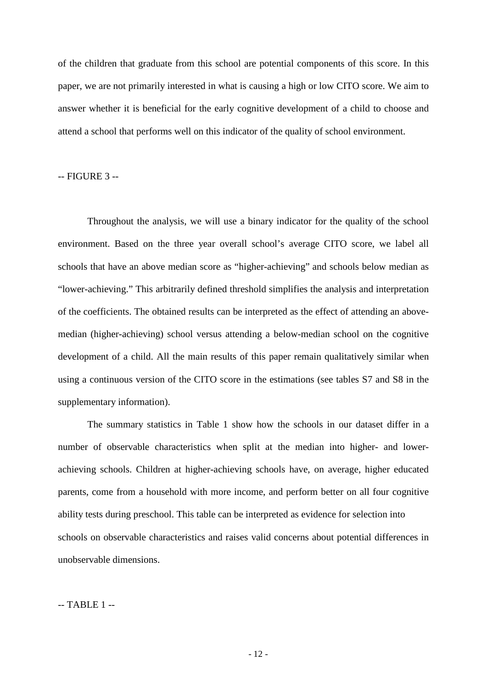of the children that graduate from this school are potential components of this score. In this paper, we are not primarily interested in what is causing a high or low CITO score. We aim to answer whether it is beneficial for the early cognitive development of a child to choose and attend a school that performs well on this indicator of the quality of school environment.

-- FIGURE 3 --

Throughout the analysis, we will use a binary indicator for the quality of the school environment. Based on the three year overall school's average CITO score, we label all schools that have an above median score as "higher-achieving" and schools below median as "lower-achieving." This arbitrarily defined threshold simplifies the analysis and interpretation of the coefficients. The obtained results can be interpreted as the effect of attending an abovemedian (higher-achieving) school versus attending a below-median school on the cognitive development of a child. All the main results of this paper remain qualitatively similar when using a continuous version of the CITO score in the estimations (see tables S7 and S8 in the supplementary information).

The summary statistics in Table 1 show how the schools in our dataset differ in a number of observable characteristics when split at the median into higher- and lowerachieving schools. Children at higher-achieving schools have, on average, higher educated parents, come from a household with more income, and perform better on all four cognitive ability tests during preschool. This table can be interpreted as evidence for selection into schools on observable characteristics and raises valid concerns about potential differences in unobservable dimensions.

-- TABLE 1 --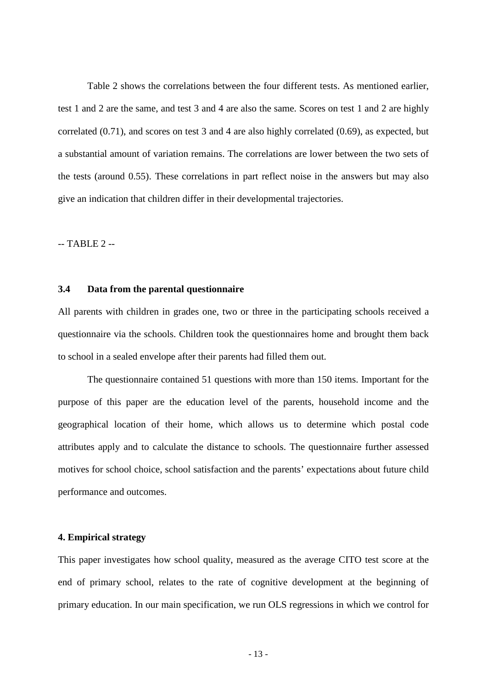Table 2 shows the correlations between the four different tests. As mentioned earlier, test 1 and 2 are the same, and test 3 and 4 are also the same. Scores on test 1 and 2 are highly correlated (0.71), and scores on test 3 and 4 are also highly correlated (0.69), as expected, but a substantial amount of variation remains. The correlations are lower between the two sets of the tests (around 0.55). These correlations in part reflect noise in the answers but may also give an indication that children differ in their developmental trajectories.

-- TABLE 2 --

#### **3.4 Data from the parental questionnaire**

All parents with children in grades one, two or three in the participating schools received a questionnaire via the schools. Children took the questionnaires home and brought them back to school in a sealed envelope after their parents had filled them out.

The questionnaire contained 51 questions with more than 150 items. Important for the purpose of this paper are the education level of the parents, household income and the geographical location of their home, which allows us to determine which postal code attributes apply and to calculate the distance to schools. The questionnaire further assessed motives for school choice, school satisfaction and the parents' expectations about future child performance and outcomes.

#### **4. Empirical strategy**

This paper investigates how school quality, measured as the average CITO test score at the end of primary school, relates to the rate of cognitive development at the beginning of primary education. In our main specification, we run OLS regressions in which we control for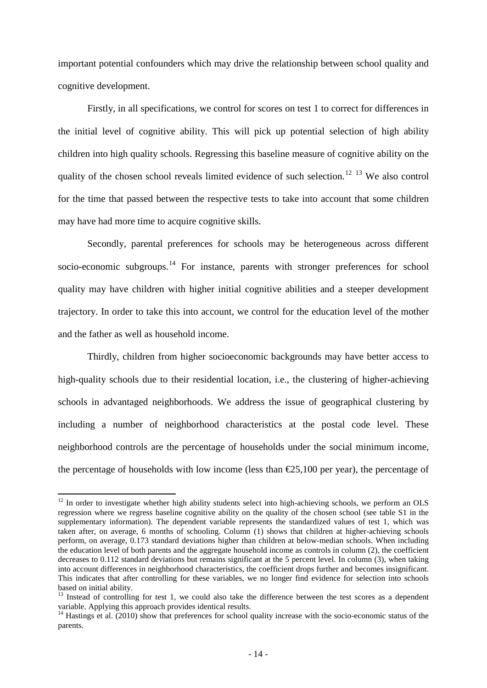important potential confounders which may drive the relationship between school quality and cognitive development.

Firstly, in all specifications, we control for scores on test 1 to correct for differences in the initial level of cognitive ability. This will pick up potential selection of high ability children into high quality schools. Regressing this baseline measure of cognitive ability on the quality of the chosen school reveals limited evidence of such selection.<sup>[12](#page-11-0) [13](#page-15-0)</sup> We also control for the time that passed between the respective tests to take into account that some children may have had more time to acquire cognitive skills.

Secondly, parental preferences for schools may be heterogeneous across different socio-economic subgroups.<sup>[14](#page-15-1)</sup> For instance, parents with stronger preferences for school quality may have children with higher initial cognitive abilities and a steeper development trajectory. In order to take this into account, we control for the education level of the mother and the father as well as household income.

Thirdly, children from higher socioeconomic backgrounds may have better access to high-quality schools due to their residential location, i.e., the clustering of higher-achieving schools in advantaged neighborhoods. We address the issue of geographical clustering by including a number of neighborhood characteristics at the postal code level. These neighborhood controls are the percentage of households under the social minimum income, the percentage of households with low income (less than  $\epsilon$ 25,100 per year), the percentage of

<sup>&</sup>lt;sup>12</sup> In order to investigate whether high ability students select into high-achieving schools, we perform an OLS regression where we regress baseline cognitive ability on the quality of the chosen school (see table S1 in the supplementary information). The dependent variable represents the standardized values of test 1, which was taken after, on average, 6 months of schooling. Column (1) shows that children at higher-achieving schools perform, on average, 0.173 standard deviations higher than children at below-median schools. When including the education level of both parents and the aggregate household income as controls in column (2), the coefficient decreases to 0.112 standard deviations but remains significant at the 5 percent level. In column (3), when taking into account differences in neighborhood characteristics, the coefficient drops further and becomes insignificant. This indicates that after controlling for these variables, we no longer find evidence for selection into schools based on initial ability.

<span id="page-15-0"></span> $13$  Instead of controlling for test 1, we could also take the difference between the test scores as a dependent variable. Applying this approach provides identical results.

<span id="page-15-1"></span><sup>&</sup>lt;sup>14</sup> Hastings et al. (2010) show that preferences for school quality increase with the socio-economic status of the parents.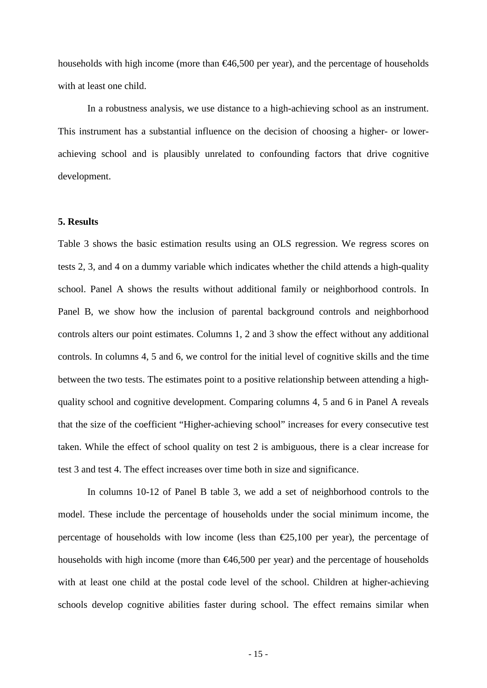households with high income (more than  $\epsilon 46,500$  per year), and the percentage of households with at least one child.

In a robustness analysis, we use distance to a high-achieving school as an instrument. This instrument has a substantial influence on the decision of choosing a higher- or lowerachieving school and is plausibly unrelated to confounding factors that drive cognitive development.

#### **5. Results**

Table 3 shows the basic estimation results using an OLS regression. We regress scores on tests 2, 3, and 4 on a dummy variable which indicates whether the child attends a high-quality school. Panel A shows the results without additional family or neighborhood controls. In Panel B, we show how the inclusion of parental background controls and neighborhood controls alters our point estimates. Columns 1, 2 and 3 show the effect without any additional controls. In columns 4, 5 and 6, we control for the initial level of cognitive skills and the time between the two tests. The estimates point to a positive relationship between attending a highquality school and cognitive development. Comparing columns 4, 5 and 6 in Panel A reveals that the size of the coefficient "Higher-achieving school" increases for every consecutive test taken. While the effect of school quality on test 2 is ambiguous, there is a clear increase for test 3 and test 4. The effect increases over time both in size and significance.

In columns 10-12 of Panel B table 3, we add a set of neighborhood controls to the model. These include the percentage of households under the social minimum income, the percentage of households with low income (less than  $\epsilon$ 25,100 per year), the percentage of households with high income (more than  $\epsilon 46,500$  per year) and the percentage of households with at least one child at the postal code level of the school. Children at higher-achieving schools develop cognitive abilities faster during school. The effect remains similar when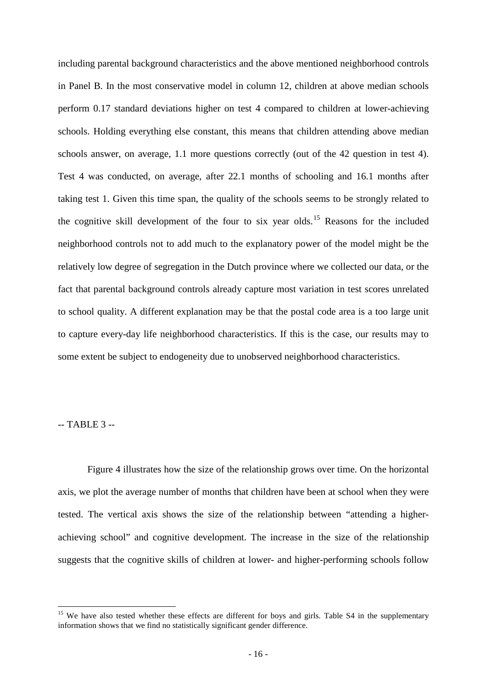including parental background characteristics and the above mentioned neighborhood controls in Panel B. In the most conservative model in column 12, children at above median schools perform 0.17 standard deviations higher on test 4 compared to children at lower-achieving schools. Holding everything else constant, this means that children attending above median schools answer, on average, 1.1 more questions correctly (out of the 42 question in test 4). Test 4 was conducted, on average, after 22.1 months of schooling and 16.1 months after taking test 1. Given this time span, the quality of the schools seems to be strongly related to the cognitive skill development of the four to six year olds.[15](#page-15-1) Reasons for the included neighborhood controls not to add much to the explanatory power of the model might be the relatively low degree of segregation in the Dutch province where we collected our data, or the fact that parental background controls already capture most variation in test scores unrelated to school quality. A different explanation may be that the postal code area is a too large unit to capture every-day life neighborhood characteristics. If this is the case, our results may to some extent be subject to endogeneity due to unobserved neighborhood characteristics.

-- TABLE 3 --

Figure 4 illustrates how the size of the relationship grows over time. On the horizontal axis, we plot the average number of months that children have been at school when they were tested. The vertical axis shows the size of the relationship between "attending a higherachieving school" and cognitive development. The increase in the size of the relationship suggests that the cognitive skills of children at lower- and higher-performing schools follow

<span id="page-17-0"></span><sup>&</sup>lt;sup>15</sup> We have also tested whether these effects are different for boys and girls. Table S4 in the supplementary information shows that we find no statistically significant gender difference.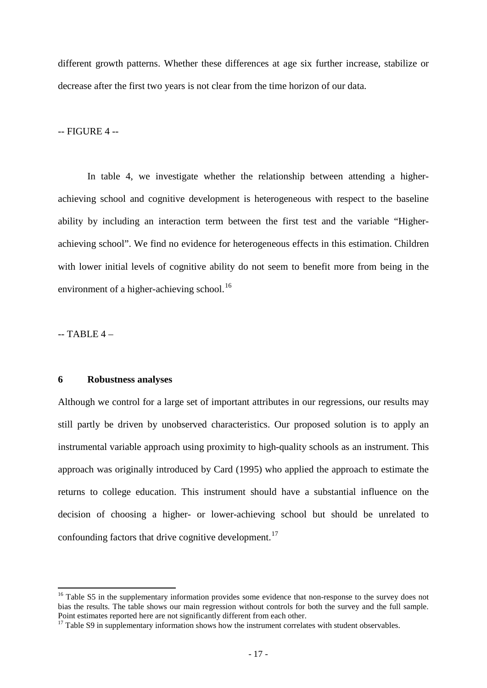different growth patterns. Whether these differences at age six further increase, stabilize or decrease after the first two years is not clear from the time horizon of our data.

-- FIGURE 4 --

In table 4, we investigate whether the relationship between attending a higherachieving school and cognitive development is heterogeneous with respect to the baseline ability by including an interaction term between the first test and the variable "Higherachieving school". We find no evidence for heterogeneous effects in this estimation. Children with lower initial levels of cognitive ability do not seem to benefit more from being in the environment of a higher-achieving school.<sup>[16](#page-17-0)</sup>

-- TABLE 4 –

#### **6 Robustness analyses**

Although we control for a large set of important attributes in our regressions, our results may still partly be driven by unobserved characteristics. Our proposed solution is to apply an instrumental variable approach using proximity to high-quality schools as an instrument. This approach was originally introduced by Card (1995) who applied the approach to estimate the returns to college education. This instrument should have a substantial influence on the decision of choosing a higher- or lower-achieving school but should be unrelated to confounding factors that drive cognitive development.<sup>[17](#page-18-0)</sup>

<span id="page-18-1"></span><sup>&</sup>lt;sup>16</sup> Table S5 in the supplementary information provides some evidence that non-response to the survey does not bias the results. The table shows our main regression without controls for both the survey and the full sample.<br>Point estimates reported here are not significantly different from each other.

<span id="page-18-0"></span> $^{17}$  Table S9 in supplementary information shows how the instrument correlates with student observables.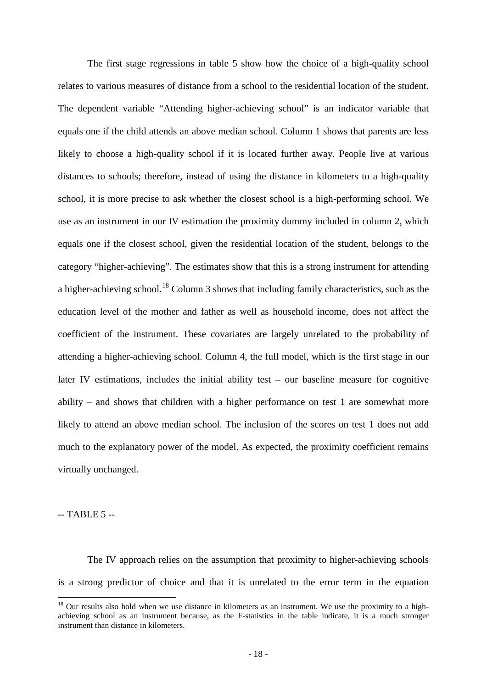The first stage regressions in table 5 show how the choice of a high-quality school relates to various measures of distance from a school to the residential location of the student. The dependent variable "Attending higher-achieving school" is an indicator variable that equals one if the child attends an above median school. Column 1 shows that parents are less likely to choose a high-quality school if it is located further away. People live at various distances to schools; therefore, instead of using the distance in kilometers to a high-quality school, it is more precise to ask whether the closest school is a high-performing school. We use as an instrument in our IV estimation the proximity dummy included in column 2, which equals one if the closest school, given the residential location of the student, belongs to the category "higher-achieving". The estimates show that this is a strong instrument for attending a higher-achieving school.[18](#page-18-1) Column 3 shows that including family characteristics, such as the education level of the mother and father as well as household income, does not affect the coefficient of the instrument. These covariates are largely unrelated to the probability of attending a higher-achieving school. Column 4, the full model, which is the first stage in our later IV estimations, includes the initial ability test – our baseline measure for cognitive ability – and shows that children with a higher performance on test 1 are somewhat more likely to attend an above median school. The inclusion of the scores on test 1 does not add much to the explanatory power of the model. As expected, the proximity coefficient remains virtually unchanged.

-- TABLE 5 --

The IV approach relies on the assumption that proximity to higher-achieving schools is a strong predictor of choice and that it is unrelated to the error term in the equation

<span id="page-19-0"></span><sup>&</sup>lt;sup>18</sup> Our results also hold when we use distance in kilometers as an instrument. We use the proximity to a highachieving school as an instrument because, as the F-statistics in the table indicate, it is a much stronger instrument than distance in kilometers.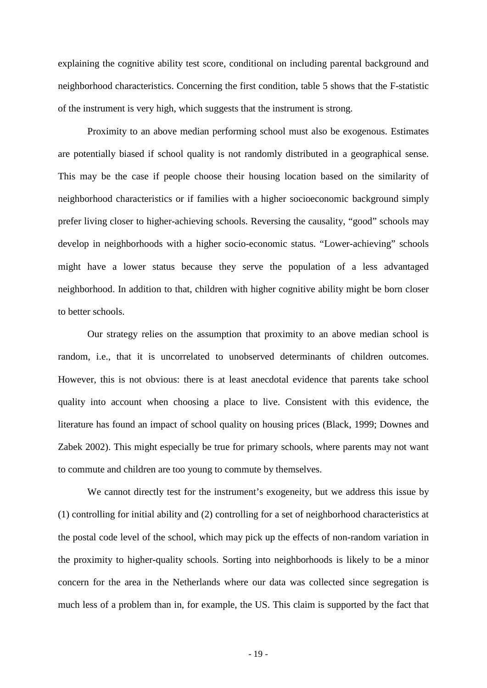explaining the cognitive ability test score, conditional on including parental background and neighborhood characteristics. Concerning the first condition, table 5 shows that the F-statistic of the instrument is very high, which suggests that the instrument is strong.

Proximity to an above median performing school must also be exogenous. Estimates are potentially biased if school quality is not randomly distributed in a geographical sense. This may be the case if people choose their housing location based on the similarity of neighborhood characteristics or if families with a higher socioeconomic background simply prefer living closer to higher-achieving schools. Reversing the causality, "good" schools may develop in neighborhoods with a higher socio-economic status. "Lower-achieving" schools might have a lower status because they serve the population of a less advantaged neighborhood. In addition to that, children with higher cognitive ability might be born closer to better schools.

Our strategy relies on the assumption that proximity to an above median school is random, i.e., that it is uncorrelated to unobserved determinants of children outcomes. However, this is not obvious: there is at least anecdotal evidence that parents take school quality into account when choosing a place to live. Consistent with this evidence, the literature has found an impact of school quality on housing prices (Black, 1999; Downes and Zabek 2002). This might especially be true for primary schools, where parents may not want to commute and children are too young to commute by themselves.

We cannot directly test for the instrument's exogeneity, but we address this issue by (1) controlling for initial ability and (2) controlling for a set of neighborhood characteristics at the postal code level of the school, which may pick up the effects of non-random variation in the proximity to higher-quality schools. Sorting into neighborhoods is likely to be a minor concern for the area in the Netherlands where our data was collected since segregation is much less of a problem than in, for example, the US. This claim is supported by the fact that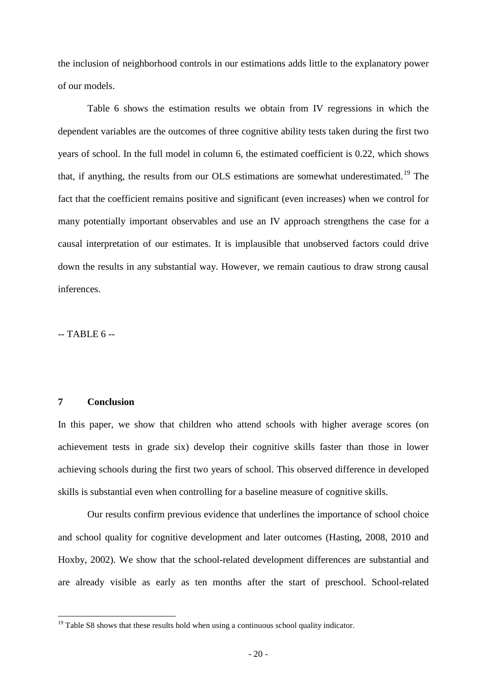the inclusion of neighborhood controls in our estimations adds little to the explanatory power of our models.

Table 6 shows the estimation results we obtain from IV regressions in which the dependent variables are the outcomes of three cognitive ability tests taken during the first two years of school. In the full model in column 6, the estimated coefficient is 0.22, which shows that, if anything, the results from our OLS estimations are somewhat underestimated.<sup>[19](#page-19-0)</sup> The fact that the coefficient remains positive and significant (even increases) when we control for many potentially important observables and use an IV approach strengthens the case for a causal interpretation of our estimates. It is implausible that unobserved factors could drive down the results in any substantial way. However, we remain cautious to draw strong causal inferences.

-- TABLE 6 --

#### **7 Conclusion**

In this paper, we show that children who attend schools with higher average scores (on achievement tests in grade six) develop their cognitive skills faster than those in lower achieving schools during the first two years of school. This observed difference in developed skills is substantial even when controlling for a baseline measure of cognitive skills.

Our results confirm previous evidence that underlines the importance of school choice and school quality for cognitive development and later outcomes (Hasting, 2008, 2010 and Hoxby, 2002). We show that the school-related development differences are substantial and are already visible as early as ten months after the start of preschool. School-related

 $19$  Table S8 shows that these results hold when using a continuous school quality indicator.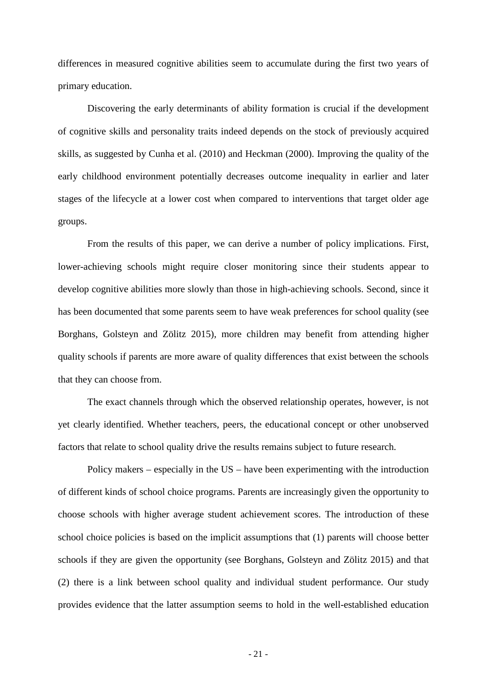differences in measured cognitive abilities seem to accumulate during the first two years of primary education.

Discovering the early determinants of ability formation is crucial if the development of cognitive skills and personality traits indeed depends on the stock of previously acquired skills, as suggested by Cunha et al. (2010) and Heckman (2000). Improving the quality of the early childhood environment potentially decreases outcome inequality in earlier and later stages of the lifecycle at a lower cost when compared to interventions that target older age groups.

From the results of this paper, we can derive a number of policy implications. First, lower-achieving schools might require closer monitoring since their students appear to develop cognitive abilities more slowly than those in high-achieving schools. Second, since it has been documented that some parents seem to have weak preferences for school quality (see Borghans, Golsteyn and Zölitz 2015), more children may benefit from attending higher quality schools if parents are more aware of quality differences that exist between the schools that they can choose from.

The exact channels through which the observed relationship operates, however, is not yet clearly identified. Whether teachers, peers, the educational concept or other unobserved factors that relate to school quality drive the results remains subject to future research.

Policy makers – especially in the US – have been experimenting with the introduction of different kinds of school choice programs. Parents are increasingly given the opportunity to choose schools with higher average student achievement scores. The introduction of these school choice policies is based on the implicit assumptions that (1) parents will choose better schools if they are given the opportunity (see Borghans, Golsteyn and Zölitz 2015) and that (2) there is a link between school quality and individual student performance. Our study provides evidence that the latter assumption seems to hold in the well-established education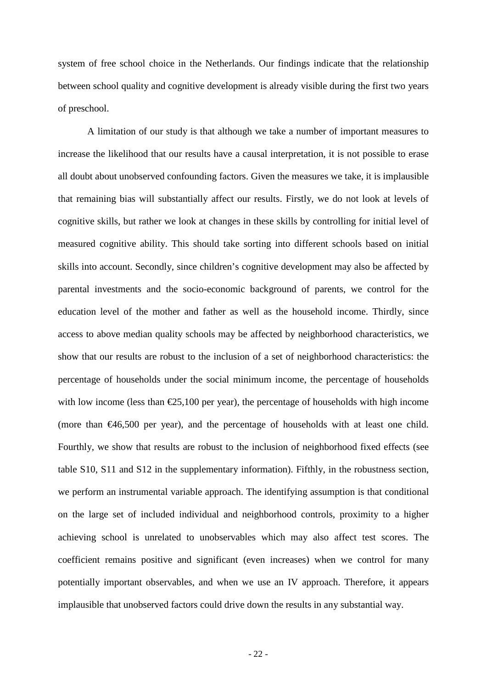system of free school choice in the Netherlands. Our findings indicate that the relationship between school quality and cognitive development is already visible during the first two years of preschool.

A limitation of our study is that although we take a number of important measures to increase the likelihood that our results have a causal interpretation, it is not possible to erase all doubt about unobserved confounding factors. Given the measures we take, it is implausible that remaining bias will substantially affect our results. Firstly, we do not look at levels of cognitive skills, but rather we look at changes in these skills by controlling for initial level of measured cognitive ability. This should take sorting into different schools based on initial skills into account. Secondly, since children's cognitive development may also be affected by parental investments and the socio-economic background of parents, we control for the education level of the mother and father as well as the household income. Thirdly, since access to above median quality schools may be affected by neighborhood characteristics, we show that our results are robust to the inclusion of a set of neighborhood characteristics: the percentage of households under the social minimum income, the percentage of households with low income (less than  $\epsilon$ 25,100 per year), the percentage of households with high income (more than  $\epsilon 46,500$  per year), and the percentage of households with at least one child. Fourthly, we show that results are robust to the inclusion of neighborhood fixed effects (see table S10, S11 and S12 in the supplementary information). Fifthly, in the robustness section, we perform an instrumental variable approach. The identifying assumption is that conditional on the large set of included individual and neighborhood controls, proximity to a higher achieving school is unrelated to unobservables which may also affect test scores. The coefficient remains positive and significant (even increases) when we control for many potentially important observables, and when we use an IV approach. Therefore, it appears implausible that unobserved factors could drive down the results in any substantial way.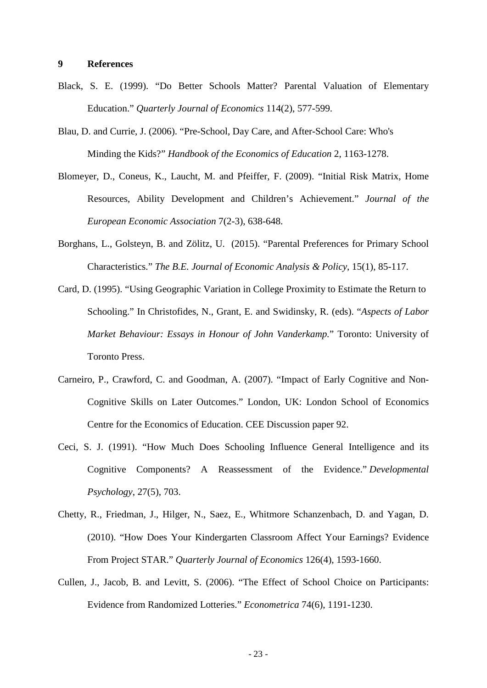#### **9 References**

- Black, S. E. (1999). "Do Better Schools Matter? Parental Valuation of Elementary Education." *Quarterly Journal of Economics* 114(2), 577-599.
- Blau, D. and Currie, J. (2006). "Pre-School, Day Care, and After-School Care: Who's Minding the Kids?" *Handbook of the Economics of Education* 2, 1163-1278.
- Blomeyer, D., Coneus, K., Laucht, M. and Pfeiffer, F. (2009). "Initial Risk Matrix, Home Resources, Ability Development and Children's Achievement." *Journal of the European Economic Association* 7(2-3), 638-648.
- Borghans, L., Golsteyn, B. and Zölitz, U. (2015). "Parental Preferences for Primary School Characteristics." *The B.E. Journal of Economic Analysis & Policy*, 15(1), 85-117.
- Card, D. (1995). "Using Geographic Variation in College Proximity to Estimate the Return to Schooling." In Christofides, N., Grant, E. and Swidinsky, R. (eds). "*Aspects of Labor Market Behaviour: Essays in Honour of John Vanderkamp.*" Toronto: University of Toronto Press.
- Carneiro, P., Crawford, C. and Goodman, A. (2007). "Impact of Early Cognitive and Non-Cognitive Skills on Later Outcomes." London, UK: London School of Economics Centre for the Economics of Education. CEE Discussion paper 92.
- Ceci, S. J. (1991). "How Much Does Schooling Influence General Intelligence and its Cognitive Components? A Reassessment of the Evidence." *Developmental Psychology*, 27(5), 703.
- Chetty, R., Friedman, J., Hilger, N., Saez, E., Whitmore Schanzenbach, D. and Yagan, D. (2010). "How Does Your Kindergarten Classroom Affect Your Earnings? Evidence From Project STAR." *Quarterly Journal of Economics* 126(4), 1593-1660.
- Cullen, J., Jacob, B. and Levitt, S. (2006). "The Effect of School Choice on Participants: Evidence from Randomized Lotteries." *Econometrica* 74(6), 1191-1230.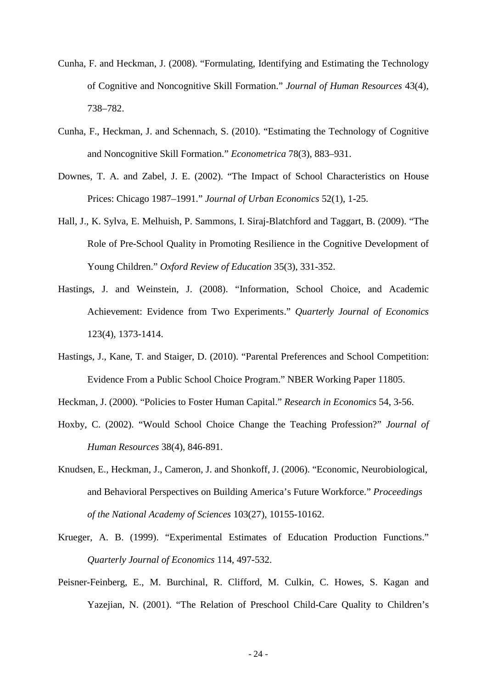- Cunha, F. and Heckman, J. (2008). "Formulating, Identifying and Estimating the Technology of Cognitive and Noncognitive Skill Formation." *Journal of Human Resources* 43(4)*,* 738–782.
- Cunha, F., Heckman, J. and Schennach, S. (2010). "Estimating the Technology of Cognitive and Noncognitive Skill Formation." *Econometrica* 78(3), 883–931.
- Downes, T. A. and Zabel, J. E. (2002). "The Impact of School Characteristics on House Prices: Chicago 1987–1991." *Journal of Urban Economics* 52(1), 1-25.
- Hall, J., K. Sylva, E. Melhuish, P. Sammons, I. Siraj-Blatchford and Taggart, B. (2009). "The Role of Pre-School Quality in Promoting Resilience in the Cognitive Development of Young Children." *Oxford Review of Education* 35(3), 331-352.
- Hastings, J. and Weinstein, J. (2008). "Information, School Choice, and Academic Achievement: Evidence from Two Experiments." *Quarterly Journal of Economics* 123(4), 1373-1414.
- Hastings, J., Kane, T. and Staiger, D. (2010). "Parental Preferences and School Competition: Evidence From a Public School Choice Program." NBER Working Paper 11805.
- Heckman, J. (2000). "Policies to Foster Human Capital." *Research in Economics* 54, 3-56.
- Hoxby, C. (2002). "Would School Choice Change the Teaching Profession?" *Journal of Human Resources* 38(4), 846-891.
- Knudsen, E., Heckman, J., Cameron, J. and Shonkoff, J. (2006). "Economic, Neurobiological, and Behavioral Perspectives on Building America's Future Workforce." *Proceedings of the National Academy of Sciences* 103(27), 10155-10162.
- Krueger, A. B. (1999). "Experimental Estimates of Education Production Functions." *Quarterly Journal of Economics* 114, 497-532.
- Peisner-Feinberg, E., M. Burchinal, R. Clifford, M. Culkin, C. Howes, S. Kagan and Yazejian, N. (2001). "The Relation of Preschool Child-Care Quality to Children's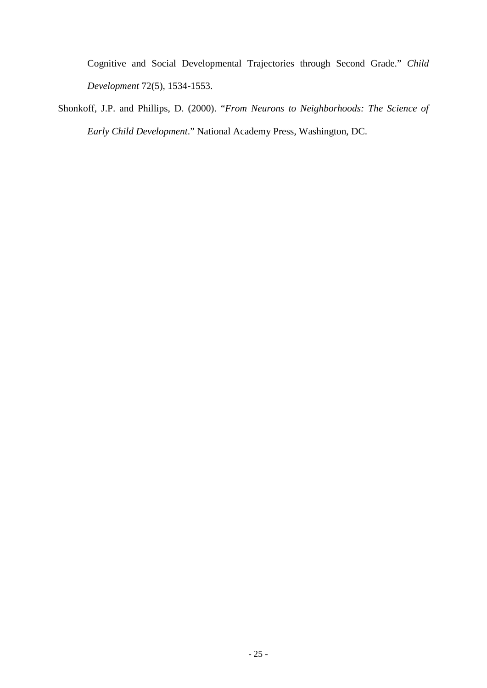Cognitive and Social Developmental Trajectories through Second Grade." *Child Development* 72(5), 1534-1553.

Shonkoff, J.P. and Phillips, D. (2000). "*From Neurons to Neighborhoods: The Science of Early Child Development*." National Academy Press, Washington, DC.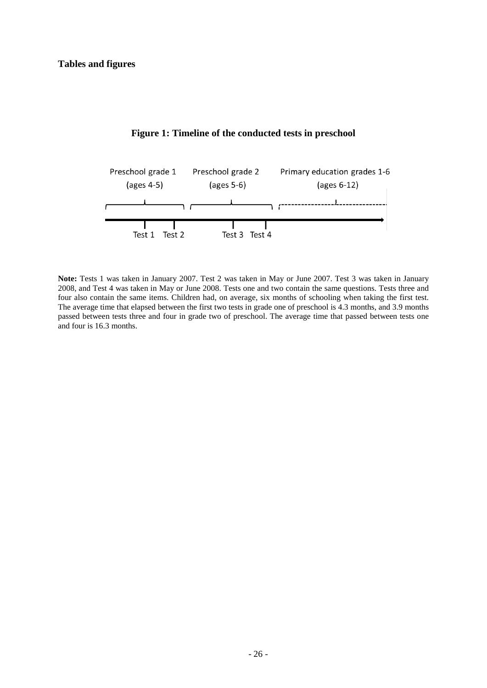



**Note:** Tests 1 was taken in January 2007. Test 2 was taken in May or June 2007. Test 3 was taken in January 2008, and Test 4 was taken in May or June 2008. Tests one and two contain the same questions. Tests three and four also contain the same items. Children had, on average, six months of schooling when taking the first test. The average time that elapsed between the first two tests in grade one of preschool is 4.3 months, and 3.9 months passed between tests three and four in grade two of preschool. The average time that passed between tests one and four is 16.3 months.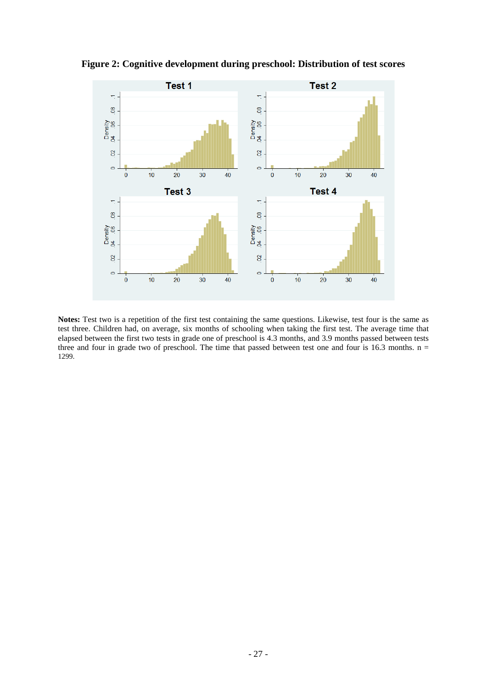

**Figure 2: Cognitive development during preschool: Distribution of test scores**

**Notes:** Test two is a repetition of the first test containing the same questions. Likewise, test four is the same as test three. Children had, on average, six months of schooling when taking the first test. The average time that elapsed between the first two tests in grade one of preschool is 4.3 months, and 3.9 months passed between tests three and four in grade two of preschool. The time that passed between test one and four is 16.3 months.  $n =$ 1299.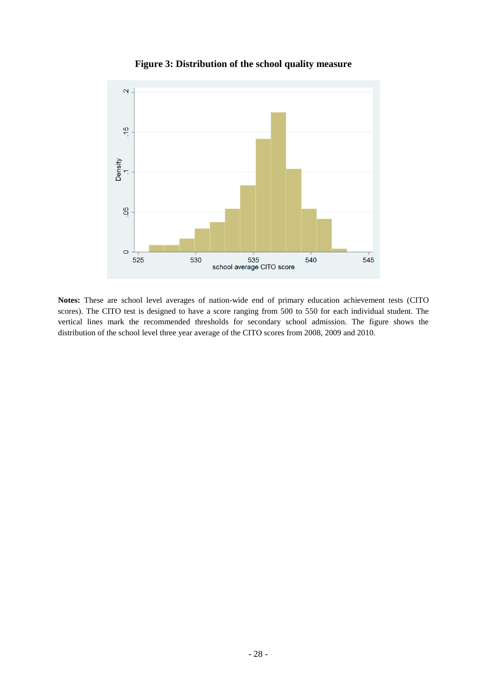

**Figure 3: Distribution of the school quality measure**

**Notes:** These are school level averages of nation-wide end of primary education achievement tests (CITO scores). The CITO test is designed to have a score ranging from 500 to 550 for each individual student. The vertical lines mark the recommended thresholds for secondary school admission. The figure shows the distribution of the school level three year average of the CITO scores from 2008, 2009 and 2010.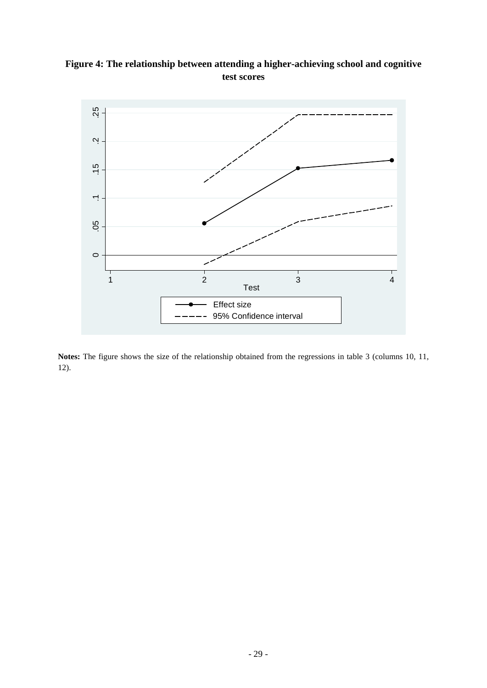**Figure 4: The relationship between attending a higher-achieving school and cognitive test scores** 



**Notes:** The figure shows the size of the relationship obtained from the regressions in table 3 (columns 10, 11, 12).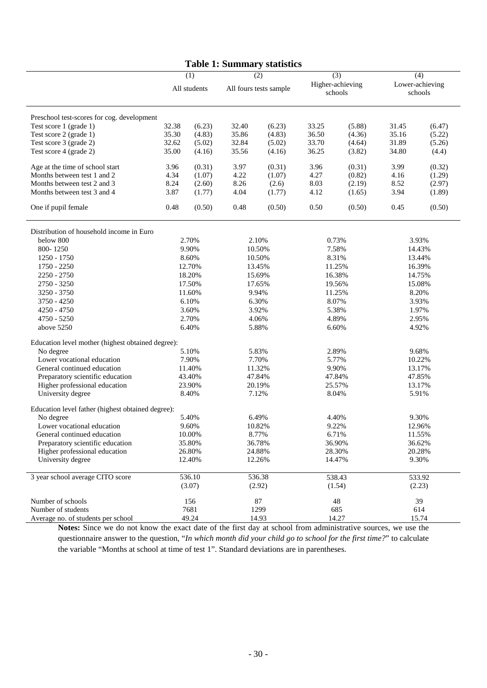|                                                   |       |              |       | <b>Table 1: Summary statistics</b> |                  |                             |                  |                            |
|---------------------------------------------------|-------|--------------|-------|------------------------------------|------------------|-----------------------------|------------------|----------------------------|
|                                                   |       | (1)          |       | (2)                                |                  | (3)                         |                  | (4)                        |
|                                                   |       | All students |       | All fours tests sample             |                  | Higher-achieving<br>schools |                  | Lower-achieving<br>schools |
| Preschool test-scores for cog. development        |       |              |       |                                    |                  |                             |                  |                            |
| Test score 1 (grade 1)                            | 32.38 | (6.23)       | 32.40 | (6.23)                             | 33.25            | (5.88)                      | 31.45            | (6.47)                     |
| Test score 2 (grade 1)                            | 35.30 | (4.83)       | 35.86 | (4.83)                             | 36.50            | (4.36)                      | 35.16            | (5.22)                     |
| Test score 3 (grade 2)                            | 32.62 | (5.02)       | 32.84 | (5.02)                             | 33.70            | (4.64)                      | 31.89            | (5.26)                     |
| Test score 4 (grade 2)                            | 35.00 | (4.16)       | 35.56 | (4.16)                             | 36.25            | (3.82)                      | 34.80            | (4.4)                      |
| Age at the time of school start                   | 3.96  | (0.31)       | 3.97  | (0.31)                             | 3.96             | (0.31)                      | 3.99             | (0.32)                     |
| Months between test 1 and 2                       | 4.34  | (1.07)       | 4.22  | (1.07)                             | 4.27             | (0.82)                      | 4.16             | (1.29)                     |
| Months between test 2 and 3                       | 8.24  | (2.60)       | 8.26  | (2.6)                              | 8.03             | (2.19)                      | 8.52             | (2.97)                     |
| Months between test 3 and 4                       | 3.87  | (1.77)       | 4.04  | (1.77)                             | 4.12             | (1.65)                      | 3.94             | (1.89)                     |
| One if pupil female                               | 0.48  | (0.50)       | 0.48  | (0.50)                             | 0.50             | (0.50)                      | 0.45             | (0.50)                     |
| Distribution of household income in Euro          |       |              |       |                                    |                  |                             |                  |                            |
| below 800                                         |       | 2.70%        |       |                                    |                  | 0.73%                       |                  |                            |
| 800-1250                                          |       | 9.90%        |       | 2.10%<br>10.50%                    |                  | 7.58%                       | 3.93%<br>14.43%  |                            |
|                                                   |       |              |       |                                    |                  |                             |                  |                            |
| 1250 - 1750                                       |       | 8.60%        |       | 10.50%                             | 8.31%            |                             | 13.44%<br>16.39% |                            |
| $1750 - 2250$                                     |       | 12.70%       |       | 13.45%                             | 11.25%           |                             |                  |                            |
| 2250 - 2750                                       |       | 18.20%       |       | 15.69%                             | 16.38%           |                             | 14.75%           |                            |
| $2750 - 3250$                                     |       | 17.50%       |       | 17.65%                             | 19.56%<br>11.25% |                             | 15.08%           |                            |
| 3250 - 3750                                       |       | 11.60%       |       | 9.94%                              |                  |                             | 8.20%            |                            |
| 3750 - 4250                                       |       | 6.10%        |       | 6.30%                              |                  | 8.07%                       |                  | 3.93%                      |
| 4250 - 4750                                       |       | 3.60%        |       | 3.92%                              | 5.38%            |                             |                  | 1.97%                      |
| $4750 - 5250$                                     |       | 2.70%        |       | 4.06%                              |                  | 4.89%                       |                  | 2.95%                      |
| above 5250                                        |       | 6.40%        |       | 5.88%                              |                  | 6.60%                       |                  | 4.92%                      |
| Education level mother (highest obtained degree): |       |              |       |                                    |                  |                             |                  |                            |
| No degree                                         |       | 5.10%        |       | 5.83%                              |                  | 2.89%                       |                  | 9.68%                      |
| Lower vocational education                        |       | 7.90%        |       | 7.70%                              |                  | 5.77%                       |                  | 10.22%                     |
| General continued education                       |       | 11.40%       |       | 11.32%                             |                  | 9.90%                       |                  | 13.17%                     |
| Preparatory scientific education                  |       | 43.40%       |       | 47.84%                             |                  | 47.84%                      |                  | 47.85%                     |
| Higher professional education                     |       | 23.90%       |       | 20.19%                             |                  | 25.57%                      |                  | 13.17%                     |
| University degree                                 |       | 8.40%        |       | 7.12%                              |                  | 8.04%                       |                  | 5.91%                      |
| Education level father (highest obtained degree): |       |              |       |                                    |                  |                             |                  |                            |
| No degree                                         |       | 5.40%        |       | 6.49%                              |                  | 4.40%                       |                  | 9.30%                      |
| Lower vocational education                        |       | 9.60%        |       | 10.82%                             |                  | 9.22%                       |                  | 12.96%                     |
| General continued education                       |       | 10.00%       |       | 8.77%                              |                  | 6.71%                       |                  | 11.55%                     |
| Preparatory scientific education                  |       | 35.80%       |       | 36.78%                             |                  | 36.90%                      |                  | 36.62%                     |
| Higher professional education                     |       | 26.80%       |       | 24.88%                             |                  | 28.30%                      |                  | 20.28%                     |
| University degree                                 |       | 12.40%       |       | 12.26%                             |                  | 14.47%                      |                  | 9.30%                      |
| 3 year school average CITO score                  |       | 536.10       |       | 536.38                             |                  | 538.43                      |                  | 533.92                     |
|                                                   |       | (3.07)       |       | (2.92)                             |                  | (1.54)                      |                  | (2.23)                     |
| Number of schools                                 |       | 156          |       | 87                                 |                  | 48                          |                  | 39                         |
| Number of students                                |       | 7681         |       | 1299                               |                  | 685                         |                  | 614                        |
| Average no. of students per school                |       | 49.24        |       | 14.93                              |                  | 14.27                       |                  | 15.74                      |

**Notes:** Since we do not know the exact date of the first day at school from administrative sources, we use the questionnaire answer to the question, "*In which month did your child go to school for the first time?*" to calculate the variable "Months at school at time of test 1". Standard deviations are in parentheses.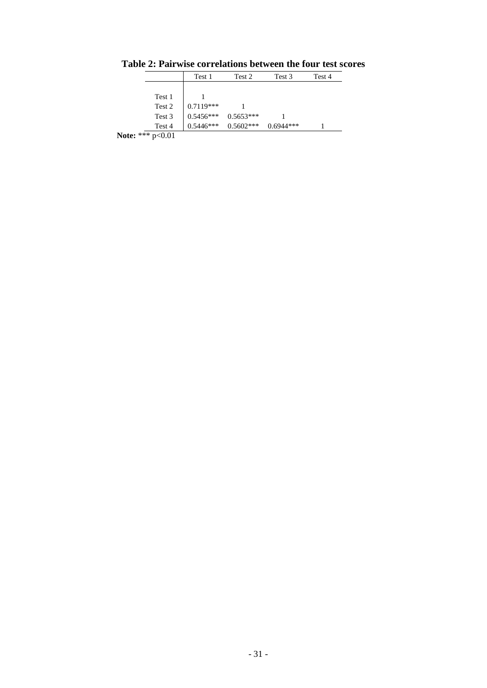|                    |        | Test 1                  | Test 2                  | Test 3      | Test 4 |
|--------------------|--------|-------------------------|-------------------------|-------------|--------|
|                    |        |                         |                         |             |        |
|                    | Test 1 |                         |                         |             |        |
|                    | Test 2 | $0.7119***$             |                         |             |        |
|                    | Test 3 | $0.5456***$ $0.5653***$ |                         |             |        |
|                    | Test 4 |                         | $0.5446***$ $0.5602***$ | $0.6944***$ |        |
| Note: *** $p<0.01$ |        |                         |                         |             |        |

**Table 2: Pairwise correlations between the four test scores**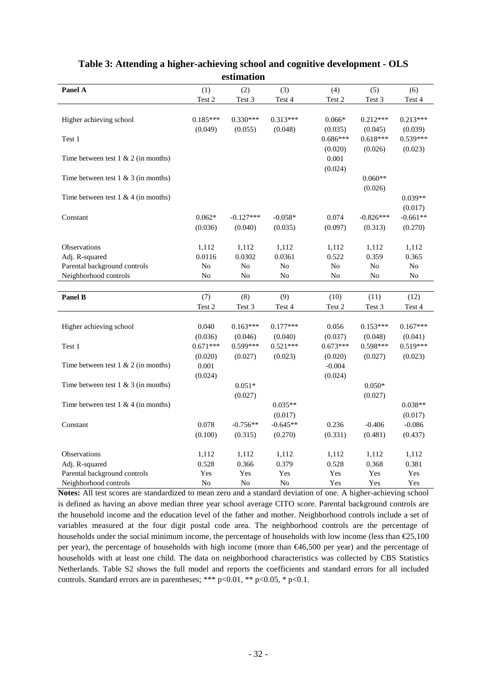| esumanon                               |                |                |                |                |             |            |  |  |  |  |
|----------------------------------------|----------------|----------------|----------------|----------------|-------------|------------|--|--|--|--|
| Panel A                                | (1)            | (2)            | (3)            | (4)            | (5)         | (6)        |  |  |  |  |
|                                        | Test 2         | Test 3         | Test 4         | Test 2         | Test 3      | Test 4     |  |  |  |  |
|                                        |                |                |                |                |             |            |  |  |  |  |
| Higher achieving school                | $0.185***$     | $0.330***$     | $0.313***$     | $0.066*$       | $0.212***$  | $0.213***$ |  |  |  |  |
|                                        | (0.049)        | (0.055)        | (0.048)        | (0.035)        | (0.045)     | (0.039)    |  |  |  |  |
| Test 1                                 |                |                |                | $0.686***$     | $0.618***$  | $0.539***$ |  |  |  |  |
|                                        |                |                |                | (0.020)        | (0.026)     | (0.023)    |  |  |  |  |
| Time between test $1 \& 2$ (in months) |                |                |                | 0.001          |             |            |  |  |  |  |
|                                        |                |                |                | (0.024)        |             |            |  |  |  |  |
| Time between test $1 \& 3$ (in months) |                |                |                |                | $0.060**$   |            |  |  |  |  |
|                                        |                |                |                |                | (0.026)     |            |  |  |  |  |
| Time between test $1 \& 4$ (in months) |                |                |                |                |             | $0.039**$  |  |  |  |  |
|                                        |                |                |                |                |             | (0.017)    |  |  |  |  |
| Constant                               | $0.062*$       | $-0.127***$    | $-0.058*$      | 0.074          | $-0.826***$ | $-0.661**$ |  |  |  |  |
|                                        | (0.036)        | (0.040)        | (0.035)        | (0.097)        | (0.313)     | (0.270)    |  |  |  |  |
|                                        |                |                |                |                |             |            |  |  |  |  |
| Observations                           | 1,112          | 1,112          | 1,112          | 1,112          | 1,112       | 1,112      |  |  |  |  |
| Adj. R-squared                         | 0.0116         | 0.0302         | 0.0361         | 0.522          | 0.359       | 0.365      |  |  |  |  |
| Parental background controls           | N <sub>o</sub> | N <sub>o</sub> | N <sub>o</sub> | N <sub>o</sub> | No          | No         |  |  |  |  |
| Neighborhood controls                  | No             | No             | No             | No             | No          | No         |  |  |  |  |
|                                        |                |                |                |                |             |            |  |  |  |  |
| <b>Panel B</b>                         | (7)            | (8)            | (9)            | (10)           | (11)        | (12)       |  |  |  |  |
|                                        | Test 2         | Test 3         | Test 4         | Test 2         | Test 3      | Test 4     |  |  |  |  |
|                                        |                |                |                |                |             |            |  |  |  |  |
| Higher achieving school                | 0.040          | $0.163***$     | $0.177***$     | 0.056          | $0.153***$  | $0.167***$ |  |  |  |  |
|                                        | (0.036)        | (0.046)        | (0.040)        | (0.037)        | (0.048)     | (0.041)    |  |  |  |  |
| Test 1                                 | $0.671***$     | $0.599***$     | $0.521***$     | $0.673***$     | $0.598***$  | $0.519***$ |  |  |  |  |
|                                        | (0.020)        | (0.027)        | (0.023)        | (0.020)        | (0.027)     | (0.023)    |  |  |  |  |
| Time between test $1 \& 2$ (in months) | 0.001          |                |                | $-0.004$       |             |            |  |  |  |  |
|                                        | (0.024)        |                |                | (0.024)        |             |            |  |  |  |  |
| Time between test $1 \& 3$ (in months) |                | $0.051*$       |                |                | $0.050*$    |            |  |  |  |  |
|                                        |                | (0.027)        |                |                | (0.027)     |            |  |  |  |  |
| Time between test $1 \& 4$ (in months) |                |                | $0.035**$      |                |             | $0.038**$  |  |  |  |  |
|                                        |                |                | (0.017)        |                |             | (0.017)    |  |  |  |  |
| Constant                               | 0.078          | $-0.756**$     | $-0.645**$     | 0.236          | $-0.406$    | $-0.086$   |  |  |  |  |
|                                        | (0.100)        | (0.315)        | (0.270)        | (0.331)        | (0.481)     | (0.437)    |  |  |  |  |
|                                        |                |                |                |                |             |            |  |  |  |  |
| Observations                           | 1,112          | 1,112          | 1,112          | 1,112          | 1,112       | 1,112      |  |  |  |  |
| Adj. R-squared                         | 0.528          | 0.366          | 0.379          | 0.528          | 0.368       | 0.381      |  |  |  |  |
| Parental background controls           | Yes            | Yes            | Yes            | Yes            | Yes         | Yes        |  |  |  |  |
| Neighborhood controls                  | No             | No             | No             | Yes            | Yes         | Yes        |  |  |  |  |

#### **Table 3: Attending a higher-achieving school and cognitive development - OLS estimation**

**Notes:** All test scores are standardized to mean zero and a standard deviation of one. A higher-achieving school is defined as having an above median three year school average CITO score. Parental background controls are the household income and the education level of the father and mother. Neighborhood controls include a set of variables measured at the four digit postal code area. The neighborhood controls are the percentage of households under the social minimum income, the percentage of households with low income (less than €25,100 per year), the percentage of households with high income (more than €46,500 per year) and the percentage of households with at least one child. The data on neighborhood characteristics was collected by CBS Statistics Netherlands. Table S2 shows the full model and reports the coefficients and standard errors for all included controls. Standard errors are in parentheses; \*\*\*  $p<0.01$ , \*\*  $p<0.05$ , \*  $p<0.1$ .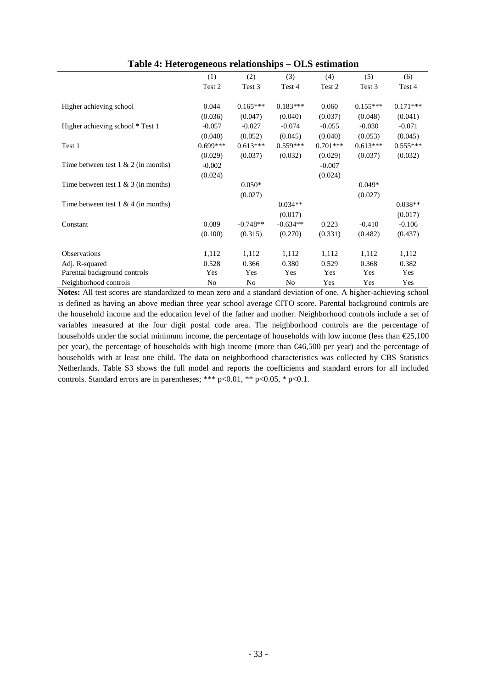|                                        | (1)        | (2)        | (3)        | (4)        | (5)        | (6)        |
|----------------------------------------|------------|------------|------------|------------|------------|------------|
|                                        | Test 2     | Test 3     | Test 4     | Test 2     | Test 3     | Test 4     |
|                                        |            |            |            |            |            |            |
| Higher achieving school                | 0.044      | $0.165***$ | $0.183***$ | 0.060      | $0.155***$ | $0.171***$ |
|                                        | (0.036)    | (0.047)    | (0.040)    | (0.037)    | (0.048)    | (0.041)    |
| Higher achieving school * Test 1       | $-0.057$   | $-0.027$   | $-0.074$   | $-0.055$   | $-0.030$   | $-0.071$   |
|                                        | (0.040)    | (0.052)    | (0.045)    | (0.040)    | (0.053)    | (0.045)    |
| Test 1                                 | $0.699***$ | $0.613***$ | $0.559***$ | $0.701***$ | $0.613***$ | $0.555***$ |
|                                        | (0.029)    | (0.037)    | (0.032)    | (0.029)    | (0.037)    | (0.032)    |
| Time between test $1 \& 2$ (in months) | $-0.002$   |            |            | $-0.007$   |            |            |
|                                        | (0.024)    |            |            | (0.024)    |            |            |
| Time between test $1 \& 3$ (in months) |            | $0.050*$   |            |            | $0.049*$   |            |
|                                        |            | (0.027)    |            |            | (0.027)    |            |
| Time between test $1 \& 4$ (in months) |            |            | $0.034**$  |            |            | $0.038**$  |
|                                        |            |            | (0.017)    |            |            | (0.017)    |
| Constant                               | 0.089      | $-0.748**$ | $-0.634**$ | 0.223      | $-0.410$   | $-0.106$   |
|                                        | (0.100)    | (0.315)    | (0.270)    | (0.331)    | (0.482)    | (0.437)    |
|                                        |            |            |            |            |            |            |
| <b>Observations</b>                    | 1,112      | 1,112      | 1,112      | 1,112      | 1,112      | 1,112      |
| Adj. R-squared                         | 0.528      | 0.366      | 0.380      | 0.529      | 0.368      | 0.382      |
| Parental background controls           | Yes        | Yes        | Yes        | Yes        | Yes        | Yes        |
| Neighborhood controls                  | No         | No         | No         | Yes        | Yes        | Yes        |

**Table 4: Heterogeneous relationships – OLS estimation**

**Notes:** All test scores are standardized to mean zero and a standard deviation of one. A higher-achieving school is defined as having an above median three year school average CITO score. Parental background controls are the household income and the education level of the father and mother. Neighborhood controls include a set of variables measured at the four digit postal code area. The neighborhood controls are the percentage of households under the social minimum income, the percentage of households with low income (less than €25,100 per year), the percentage of households with high income (more than €46,500 per year) and the percentage of households with at least one child. The data on neighborhood characteristics was collected by CBS Statistics Netherlands. Table S3 shows the full model and reports the coefficients and standard errors for all included controls. Standard errors are in parentheses; \*\*\* p<0.01, \*\* p<0.05, \* p<0.1.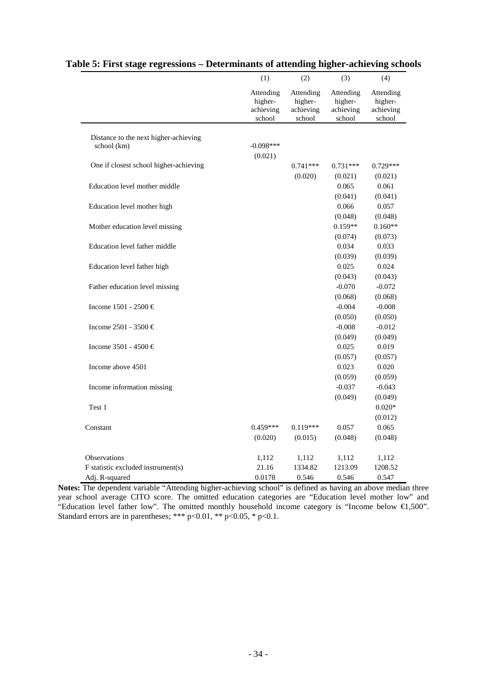|                                        | (1)                                         | (2)                                         | (3)                                         | (4)                                         |
|----------------------------------------|---------------------------------------------|---------------------------------------------|---------------------------------------------|---------------------------------------------|
|                                        | Attending<br>higher-<br>achieving<br>school | Attending<br>higher-<br>achieving<br>school | Attending<br>higher-<br>achieving<br>school | Attending<br>higher-<br>achieving<br>school |
| Distance to the next higher-achieving  |                                             |                                             |                                             |                                             |
| school (km)                            | $-0.098***$                                 |                                             |                                             |                                             |
|                                        | (0.021)                                     |                                             |                                             |                                             |
| One if closest school higher-achieving |                                             | $0.741***$                                  | $0.731***$                                  | $0.729***$                                  |
|                                        |                                             | (0.020)                                     | (0.021)                                     | (0.021)                                     |
| Education level mother middle          |                                             |                                             | 0.065                                       | 0.061                                       |
|                                        |                                             |                                             | (0.041)                                     | (0.041)                                     |
| Education level mother high            |                                             |                                             | 0.066                                       | 0.057                                       |
|                                        |                                             |                                             | (0.048)                                     | (0.048)                                     |
| Mother education level missing         |                                             |                                             | $0.159**$                                   | $0.160**$                                   |
|                                        |                                             |                                             | (0.074)                                     | (0.073)                                     |
| Education level father middle          |                                             |                                             | 0.034                                       | 0.033                                       |
|                                        |                                             |                                             | (0.039)                                     | (0.039)                                     |
| Education level father high            |                                             |                                             | 0.025                                       | 0.024                                       |
|                                        |                                             |                                             | (0.043)                                     | (0.043)                                     |
| Father education level missing         |                                             |                                             | $-0.070$                                    | $-0.072$                                    |
|                                        |                                             |                                             | (0.068)                                     | (0.068)                                     |
| Income 1501 - 2500 €                   |                                             |                                             | $-0.004$                                    | $-0.008$                                    |
|                                        |                                             |                                             | (0.050)                                     | (0.050)                                     |
| Income 2501 - 3500 €                   |                                             |                                             | $-0.008$                                    | $-0.012$                                    |
|                                        |                                             |                                             | (0.049)                                     | (0.049)                                     |
| Income 3501 - 4500 €                   |                                             |                                             | 0.025                                       | 0.019                                       |
|                                        |                                             |                                             | (0.057)                                     | (0.057)                                     |
| Income above 4501                      |                                             |                                             | 0.023                                       | 0.020                                       |
|                                        |                                             |                                             | (0.059)                                     | (0.059)                                     |
| Income information missing             |                                             |                                             | $-0.037$                                    | $-0.043$                                    |
|                                        |                                             |                                             | (0.049)                                     | (0.049)                                     |
| Test 1                                 |                                             |                                             |                                             | $0.020*$                                    |
|                                        |                                             |                                             |                                             | (0.012)                                     |
| Constant                               | $0.459***$                                  | $0.119***$                                  | 0.057                                       | 0.065                                       |
|                                        | (0.020)                                     | (0.015)                                     | (0.048)                                     | (0.048)                                     |
| <b>Observations</b>                    | 1,112                                       | 1,112                                       | 1,112                                       | 1,112                                       |
| F statistic excluded instrument(s)     | 21.16                                       | 1334.82                                     | 1213.09                                     | 1208.52                                     |
| Adj. R-squared                         | 0.0178                                      | 0.546                                       | 0.546                                       | 0.547                                       |

## **Table 5: First stage regressions – Determinants of attending higher-achieving schools**

**Notes:** The dependent variable "Attending higher-achieving school" is defined as having an above median three year school average CITO score. The omitted education categories are "Education level mother low" and "Education level father low". The omitted monthly household income category is "Income below €1,500". Standard errors are in parentheses; \*\*\*  $p<0.01$ , \*\*  $p<0.05$ , \*  $p<0.1$ .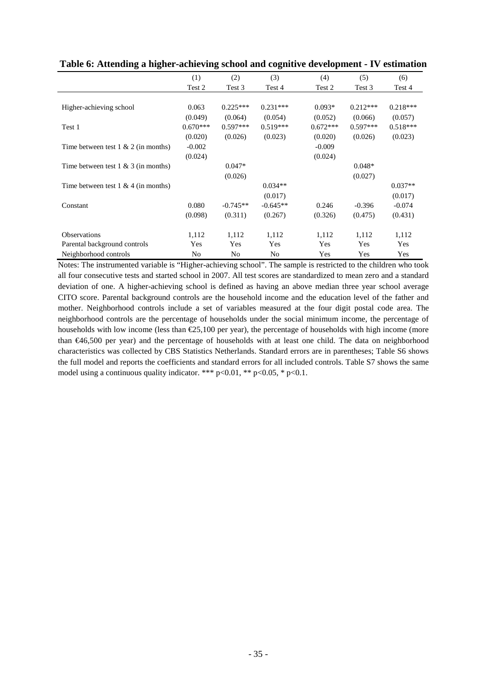|                                        | (1)        | (2)        | (3)            | (4)        | (5)        | (6)        |
|----------------------------------------|------------|------------|----------------|------------|------------|------------|
|                                        | Test 2     | Test 3     | Test 4         | Test 2     | Test 3     | Test 4     |
|                                        |            |            |                |            |            |            |
| Higher-achieving school                | 0.063      | $0.225***$ | $0.231***$     | $0.093*$   | $0.212***$ | $0.218***$ |
|                                        | (0.049)    | (0.064)    | (0.054)        | (0.052)    | (0.066)    | (0.057)    |
| Test 1                                 | $0.670***$ | $0.597***$ | $0.519***$     | $0.672***$ | $0.597***$ | $0.518***$ |
|                                        | (0.020)    | (0.026)    | (0.023)        | (0.020)    | (0.026)    | (0.023)    |
| Time between test $1 \& 2$ (in months) | $-0.002$   |            |                | $-0.009$   |            |            |
|                                        | (0.024)    |            |                | (0.024)    |            |            |
| Time between test $1 \& 3$ (in months) |            | $0.047*$   |                |            | $0.048*$   |            |
|                                        |            | (0.026)    |                |            | (0.027)    |            |
| Time between test $1 \& 4$ (in months) |            |            | $0.034**$      |            |            | $0.037**$  |
|                                        |            |            | (0.017)        |            |            | (0.017)    |
| Constant                               | 0.080      | $-0.745**$ | $-0.645**$     | 0.246      | $-0.396$   | $-0.074$   |
|                                        | (0.098)    | (0.311)    | (0.267)        | (0.326)    | (0.475)    | (0.431)    |
|                                        |            |            |                |            |            |            |
| <b>Observations</b>                    | 1,112      | 1,112      | 1,112          | 1,112      | 1,112      | 1,112      |
| Parental background controls           | Yes        | Yes        | Yes            | Yes        | Yes        | <b>Yes</b> |
| Neighborhood controls                  | No.        | No         | N <sub>0</sub> | Yes        | Yes        | Yes        |

**Table 6: Attending a higher-achieving school and cognitive development - IV estimation**

Notes: The instrumented variable is "Higher-achieving school". The sample is restricted to the children who took all four consecutive tests and started school in 2007. All test scores are standardized to mean zero and a standard deviation of one. A higher-achieving school is defined as having an above median three year school average CITO score. Parental background controls are the household income and the education level of the father and mother. Neighborhood controls include a set of variables measured at the four digit postal code area. The neighborhood controls are the percentage of households under the social minimum income, the percentage of households with low income (less than  $\epsilon$ 25,100 per year), the percentage of households with high income (more than €46,500 per year) and the percentage of households with at least one child. The data on neighborhood characteristics was collected by CBS Statistics Netherlands. Standard errors are in parentheses; Table S6 shows the full model and reports the coefficients and standard errors for all included controls. Table S7 shows the same model using a continuous quality indicator. \*\*\*  $p<0.01$ , \*\*  $p<0.05$ , \*  $p<0.1$ .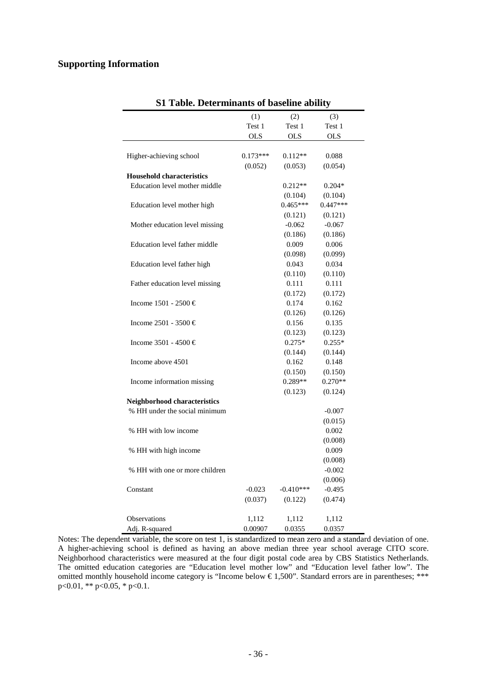#### **Supporting Information**

|                                  | (1)        | (2)         | (3)        |
|----------------------------------|------------|-------------|------------|
|                                  | Test 1     | Test 1      | Test 1     |
|                                  | <b>OLS</b> | <b>OLS</b>  | <b>OLS</b> |
|                                  |            |             |            |
| Higher-achieving school          | $0.173***$ | $0.112**$   | 0.088      |
|                                  | (0.052)    | (0.053)     | (0.054)    |
| <b>Household characteristics</b> |            |             |            |
| Education level mother middle    |            | $0.212**$   | $0.204*$   |
|                                  |            | (0.104)     | (0.104)    |
| Education level mother high      |            | $0.465***$  | $0.447***$ |
|                                  |            | (0.121)     | (0.121)    |
| Mother education level missing   |            | $-0.062$    | $-0.067$   |
|                                  |            | (0.186)     | (0.186)    |
| Education level father middle    |            | 0.009       | 0.006      |
|                                  |            | (0.098)     | (0.099)    |
| Education level father high      |            | 0.043       | 0.034      |
|                                  |            | (0.110)     | (0.110)    |
| Father education level missing   |            | 0.111       | 0.111      |
|                                  |            | (0.172)     | (0.172)    |
| Income 1501 - 2500 €             |            | 0.174       | 0.162      |
|                                  |            | (0.126)     | (0.126)    |
| Income 2501 - 3500 $\in$         |            | 0.156       | 0.135      |
|                                  |            | (0.123)     | (0.123)    |
| Income 3501 - 4500 €             |            | $0.275*$    | $0.255*$   |
|                                  |            | (0.144)     | (0.144)    |
| Income above 4501                |            | 0.162       | 0.148      |
|                                  |            | (0.150)     | (0.150)    |
| Income information missing       |            | 0.289**     | $0.270**$  |
|                                  |            | (0.123)     | (0.124)    |
| Neighborhood characteristics     |            |             |            |
| % HH under the social minimum    |            |             | $-0.007$   |
|                                  |            |             | (0.015)    |
| % HH with low income             |            |             | 0.002      |
|                                  |            |             | (0.008)    |
| % HH with high income            |            |             | 0.009      |
|                                  |            |             | (0.008)    |
| % HH with one or more children   |            |             | $-0.002$   |
|                                  |            |             | (0.006)    |
| Constant                         | $-0.023$   | $-0.410***$ | $-0.495$   |
|                                  | (0.037)    | (0.122)     | (0.474)    |
|                                  |            |             |            |
| Observations                     | 1,112      | 1,112       | 1,112      |
| Adj. R-squared                   | 0.00907    | 0.0355      | 0.0357     |

**S1 Table. Determinants of baseline ability** 

Notes: The dependent variable, the score on test 1, is standardized to mean zero and a standard deviation of one. A higher-achieving school is defined as having an above median three year school average CITO score. Neighborhood characteristics were measured at the four digit postal code area by CBS Statistics Netherlands. The omitted education categories are "Education level mother low" and "Education level father low". The omitted monthly household income category is "Income below  $\epsilon$ 1,500". Standard errors are in parentheses; \*\*\*  $p<0.01$ , \*\*  $p<0.05$ , \*  $p<0.1$ .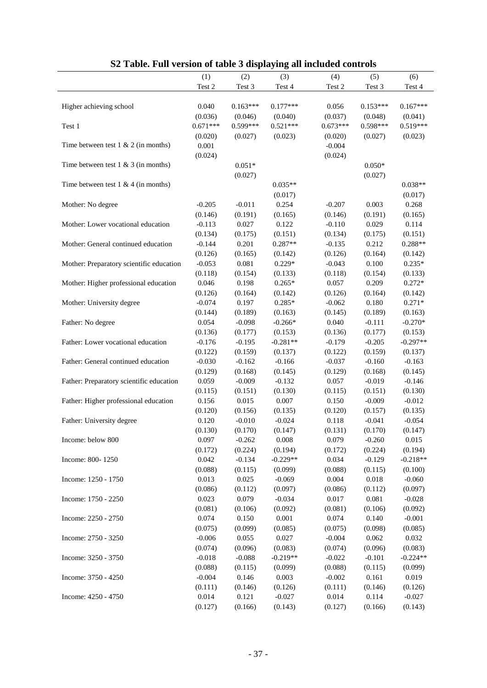|                                          | (1)        | (2)        | (3)        | (4)        | (5)        | (6)        |
|------------------------------------------|------------|------------|------------|------------|------------|------------|
|                                          | Test 2     | Test 3     | Test 4     | Test 2     | Test 3     | Test 4     |
| Higher achieving school                  | 0.040      | $0.163***$ | $0.177***$ | 0.056      | $0.153***$ | $0.167***$ |
|                                          | (0.036)    | (0.046)    | (0.040)    | (0.037)    | (0.048)    | (0.041)    |
| Test 1                                   | $0.671***$ | 0.599***   | $0.521***$ | $0.673***$ | $0.598***$ | $0.519***$ |
|                                          | (0.020)    | (0.027)    | (0.023)    | (0.020)    | (0.027)    | (0.023)    |
| Time between test $1 \& 2$ (in months)   | 0.001      |            |            | $-0.004$   |            |            |
|                                          | (0.024)    |            |            | (0.024)    |            |            |
| Time between test $1 \& 3$ (in months)   |            | $0.051*$   |            |            | $0.050*$   |            |
|                                          |            | (0.027)    |            |            | (0.027)    |            |
| Time between test $1 \& 4$ (in months)   |            |            | $0.035**$  |            |            | $0.038**$  |
|                                          |            |            | (0.017)    |            |            | (0.017)    |
| Mother: No degree                        | $-0.205$   | $-0.011$   | 0.254      | $-0.207$   | 0.003      | 0.268      |
|                                          | (0.146)    | (0.191)    | (0.165)    | (0.146)    | (0.191)    | (0.165)    |
| Mother: Lower vocational education       | $-0.113$   | 0.027      | 0.122      | $-0.110$   | 0.029      | 0.114      |
|                                          | (0.134)    | (0.175)    | (0.151)    | (0.134)    | (0.175)    | (0.151)    |
| Mother: General continued education      | $-0.144$   | 0.201      | $0.287**$  | $-0.135$   | 0.212      | 0.288**    |
|                                          | (0.126)    | (0.165)    | (0.142)    | (0.126)    | (0.164)    | (0.142)    |
| Mother: Preparatory scientific education | $-0.053$   | 0.081      | $0.229*$   | $-0.043$   | 0.100      | $0.235*$   |
|                                          | (0.118)    | (0.154)    | (0.133)    | (0.118)    | (0.154)    | (0.133)    |
| Mother: Higher professional education    | 0.046      | 0.198      | $0.265*$   | 0.057      | 0.209      | $0.272*$   |
|                                          | (0.126)    | (0.164)    | (0.142)    | (0.126)    | (0.164)    | (0.142)    |
| Mother: University degree                | $-0.074$   | 0.197      | $0.285*$   | $-0.062$   | 0.180      | $0.271*$   |
|                                          | (0.144)    | (0.189)    | (0.163)    | (0.145)    | (0.189)    | (0.163)    |
|                                          | 0.054      | $-0.098$   | $-0.266*$  | 0.040      | $-0.111$   | $-0.270*$  |
| Father: No degree                        | (0.136)    | (0.177)    | (0.153)    | (0.136)    | (0.177)    | (0.153)    |
|                                          | $-0.176$   |            | $-0.281**$ |            |            | $-0.297**$ |
| Father: Lower vocational education       |            | $-0.195$   |            | $-0.179$   | $-0.205$   |            |
|                                          | (0.122)    | (0.159)    | (0.137)    | (0.122)    | (0.159)    | (0.137)    |
| Father: General continued education      | $-0.030$   | $-0.162$   | $-0.166$   | $-0.037$   | $-0.160$   | $-0.163$   |
|                                          | (0.129)    | (0.168)    | (0.145)    | (0.129)    | (0.168)    | (0.145)    |
| Father: Preparatory scientific education | 0.059      | $-0.009$   | $-0.132$   | 0.057      | $-0.019$   | $-0.146$   |
|                                          | (0.115)    | (0.151)    | (0.130)    | (0.115)    | (0.151)    | (0.130)    |
| Father: Higher professional education    | 0.156      | 0.015      | 0.007      | 0.150      | $-0.009$   | $-0.012$   |
|                                          | (0.120)    | (0.156)    | (0.135)    | (0.120)    | (0.157)    | (0.135)    |
| Father: University degree                | 0.120      | $-0.010$   | $-0.024$   | 0.118      | $-0.041$   | $-0.054$   |
|                                          | (0.130)    | (0.170)    | (0.147)    | (0.131)    | (0.170)    | (0.147)    |
| Income: below 800                        | 0.097      | $-0.262$   | 0.008      | 0.079      | $-0.260$   | 0.015      |
|                                          | (0.172)    | (0.224)    | (0.194)    | (0.172)    | (0.224)    | (0.194)    |
| Income: 800-1250                         | 0.042      | $-0.134$   | $-0.229**$ | 0.034      | $-0.129$   | $-0.218**$ |
|                                          | (0.088)    | (0.115)    | (0.099)    | (0.088)    | (0.115)    | (0.100)    |
| Income: 1250 - 1750                      | 0.013      | 0.025      | $-0.069$   | 0.004      | 0.018      | $-0.060$   |
|                                          | (0.086)    | (0.112)    | (0.097)    | (0.086)    | (0.112)    | (0.097)    |
| Income: 1750 - 2250                      | 0.023      | 0.079      | $-0.034$   | 0.017      | 0.081      | $-0.028$   |
|                                          | (0.081)    | (0.106)    | (0.092)    | (0.081)    | (0.106)    | (0.092)    |
| Income: 2250 - 2750                      | 0.074      | 0.150      | 0.001      | 0.074      | 0.140      | $-0.001$   |
|                                          | (0.075)    | (0.099)    | (0.085)    | (0.075)    | (0.098)    | (0.085)    |
| Income: 2750 - 3250                      | $-0.006$   | 0.055      | 0.027      | $-0.004$   | 0.062      | 0.032      |
|                                          | (0.074)    | (0.096)    | (0.083)    | (0.074)    | (0.096)    | (0.083)    |
| Income: 3250 - 3750                      | $-0.018$   | $-0.088$   | $-0.219**$ | $-0.022$   | $-0.101$   | $-0.224**$ |
|                                          | (0.088)    | (0.115)    | (0.099)    | (0.088)    | (0.115)    | (0.099)    |
| Income: 3750 - 4250                      | $-0.004$   | 0.146      | 0.003      | $-0.002$   | 0.161      | 0.019      |
|                                          | (0.111)    | (0.146)    | (0.126)    | (0.111)    | (0.146)    | (0.126)    |
| Income: 4250 - 4750                      | 0.014      | 0.121      | $-0.027$   | 0.014      | 0.114      | $-0.027$   |
|                                          | (0.127)    | (0.166)    | (0.143)    | (0.127)    | (0.166)    | (0.143)    |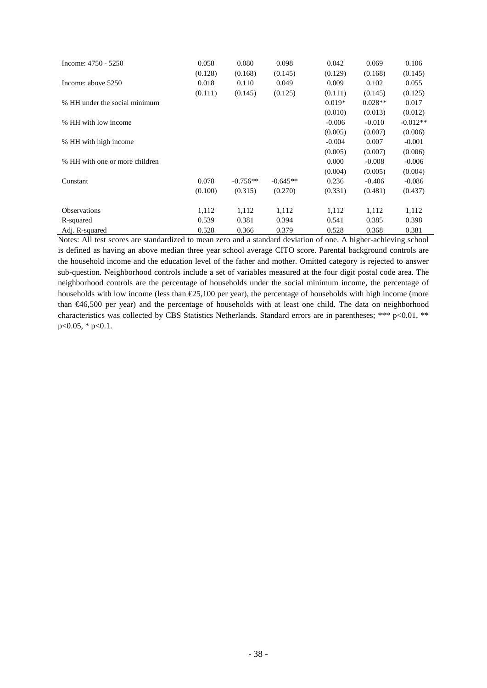| Income: 4750 - 5250            | 0.058   | 0.080      | 0.098      | 0.042    | 0.069     | 0.106      |
|--------------------------------|---------|------------|------------|----------|-----------|------------|
|                                | (0.128) | (0.168)    | (0.145)    | (0.129)  | (0.168)   | (0.145)    |
| Income: above 5250             | 0.018   | 0.110      | 0.049      | 0.009    | 0.102     | 0.055      |
|                                | (0.111) | (0.145)    | (0.125)    | (0.111)  | (0.145)   | (0.125)    |
| % HH under the social minimum  |         |            |            | $0.019*$ | $0.028**$ | 0.017      |
|                                |         |            |            | (0.010)  | (0.013)   | (0.012)    |
| % HH with low income           |         |            |            | $-0.006$ | $-0.010$  | $-0.012**$ |
|                                |         |            |            | (0.005)  | (0.007)   | (0.006)    |
| % HH with high income          |         |            |            | $-0.004$ | 0.007     | $-0.001$   |
|                                |         |            |            | (0.005)  | (0.007)   | (0.006)    |
| % HH with one or more children |         |            |            | 0.000    | $-0.008$  | $-0.006$   |
|                                |         |            |            | (0.004)  | (0.005)   | (0.004)    |
| Constant                       | 0.078   | $-0.756**$ | $-0.645**$ | 0.236    | $-0.406$  | $-0.086$   |
|                                | (0.100) | (0.315)    | (0.270)    | (0.331)  | (0.481)   | (0.437)    |
| <b>Observations</b>            | 1,112   | 1,112      | 1,112      | 1,112    | 1,112     | 1,112      |
| R-squared                      | 0.539   | 0.381      | 0.394      | 0.541    | 0.385     | 0.398      |
| Adj. R-squared                 | 0.528   | 0.366      | 0.379      | 0.528    | 0.368     | 0.381      |

Notes: All test scores are standardized to mean zero and a standard deviation of one. A higher-achieving school is defined as having an above median three year school average CITO score. Parental background controls are the household income and the education level of the father and mother. Omitted category is rejected to answer sub-question. Neighborhood controls include a set of variables measured at the four digit postal code area. The neighborhood controls are the percentage of households under the social minimum income, the percentage of households with low income (less than  $\epsilon$ 25,100 per year), the percentage of households with high income (more than €46,500 per year) and the percentage of households with at least one child. The data on neighborhood characteristics was collected by CBS Statistics Netherlands. Standard errors are in parentheses; \*\*\* p<0.01, \*\*  $p<0.05$ , \*  $p<0.1$ .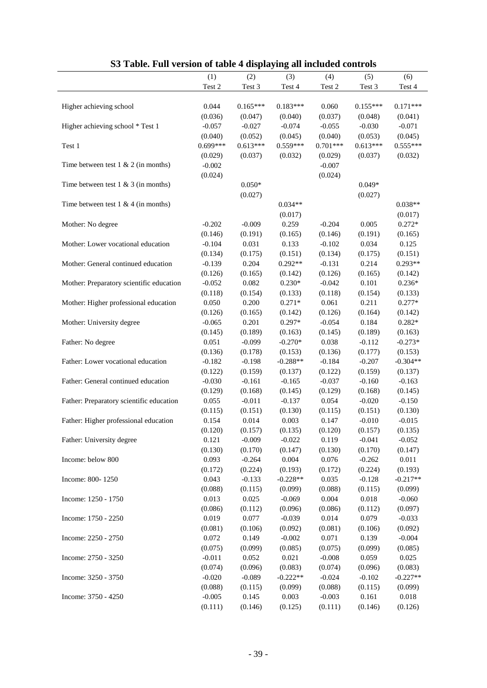| Higher achieving school                  | Test 2<br>0.044<br>(0.036)<br>$-0.057$<br>(0.040)<br>$0.699***$ | Test 3<br>$0.165***$<br>(0.047)<br>$-0.027$ | Test 4<br>$0.183***$<br>(0.040) | Test 2<br>0.060 | Test 3<br>$0.155***$ | Test 4<br>$0.171***$ |
|------------------------------------------|-----------------------------------------------------------------|---------------------------------------------|---------------------------------|-----------------|----------------------|----------------------|
|                                          |                                                                 |                                             |                                 |                 |                      |                      |
|                                          |                                                                 |                                             |                                 |                 |                      |                      |
|                                          |                                                                 |                                             |                                 |                 |                      |                      |
|                                          |                                                                 |                                             |                                 | (0.037)         | (0.048)              | (0.041)              |
| Higher achieving school * Test 1         |                                                                 |                                             | $-0.074$                        | $-0.055$        | $-0.030$             | $-0.071$             |
|                                          |                                                                 | (0.052)                                     | (0.045)                         | (0.040)         | (0.053)              | (0.045)              |
| Test 1                                   |                                                                 | $0.613***$                                  | 0.559***                        | $0.701***$      | $0.613***$           | $0.555***$           |
|                                          | (0.029)                                                         | (0.037)                                     | (0.032)                         | (0.029)         | (0.037)              | (0.032)              |
| Time between test $1 \& 2$ (in months)   | $-0.002$                                                        |                                             |                                 | $-0.007$        |                      |                      |
|                                          | (0.024)                                                         |                                             |                                 | (0.024)         |                      |                      |
| Time between test $1 \& 3$ (in months)   |                                                                 | $0.050*$                                    |                                 |                 | $0.049*$             |                      |
|                                          |                                                                 | (0.027)                                     |                                 |                 | (0.027)              |                      |
| Time between test $1 \& 4$ (in months)   |                                                                 |                                             | $0.034**$                       |                 |                      | $0.038**$            |
|                                          |                                                                 |                                             | (0.017)                         |                 |                      | (0.017)              |
| Mother: No degree                        | $-0.202$                                                        | $-0.009$                                    | 0.259                           | $-0.204$        | 0.005                | $0.272*$             |
|                                          | (0.146)                                                         | (0.191)                                     | (0.165)                         | (0.146)         | (0.191)              | (0.165)              |
| Mother: Lower vocational education       | $-0.104$                                                        | 0.031                                       | 0.133                           | $-0.102$        | 0.034                | 0.125                |
|                                          | (0.134)                                                         | (0.175)                                     | (0.151)                         | (0.134)         | (0.175)              | (0.151)              |
| Mother: General continued education      | $-0.139$                                                        | 0.204                                       | $0.292**$                       | $-0.131$        | 0.214                | $0.293**$            |
|                                          | (0.126)                                                         | (0.165)                                     | (0.142)                         | (0.126)         | (0.165)              | (0.142)              |
| Mother: Preparatory scientific education | $-0.052$                                                        | 0.082                                       | $0.230*$                        | $-0.042$        | 0.101                | $0.236*$             |
|                                          | (0.118)                                                         | (0.154)                                     | (0.133)                         | (0.118)         | (0.154)              | (0.133)              |
| Mother: Higher professional education    | 0.050                                                           | 0.200                                       | $0.271*$                        | 0.061           | 0.211                | $0.277*$             |
|                                          | (0.126)                                                         | (0.165)                                     | (0.142)                         | (0.126)         | (0.164)              | (0.142)              |
| Mother: University degree                | $-0.065$                                                        | 0.201                                       | $0.297*$                        | $-0.054$        | 0.184                | $0.282*$             |
|                                          | (0.145)                                                         | (0.189)                                     | (0.163)                         | (0.145)         | (0.189)              | (0.163)              |
| Father: No degree                        | 0.051                                                           | $-0.099$                                    | $-0.270*$                       | 0.038           | $-0.112$             | $-0.273*$            |
|                                          | (0.136)                                                         | (0.178)                                     | (0.153)                         | (0.136)         | (0.177)              | (0.153)              |
| Father: Lower vocational education       | $-0.182$                                                        | $-0.198$                                    | $-0.288**$                      | $-0.184$        | $-0.207$             | $-0.304**$           |
|                                          | (0.122)                                                         | (0.159)                                     | (0.137)                         | (0.122)         | (0.159)              | (0.137)              |
| Father: General continued education      | $-0.030$                                                        | $-0.161$                                    | $-0.165$                        | $-0.037$        | $-0.160$             | $-0.163$             |
|                                          | (0.129)                                                         | (0.168)                                     | (0.145)                         | (0.129)         | (0.168)              | (0.145)              |
| Father: Preparatory scientific education | 0.055                                                           | $-0.011$                                    | $-0.137$                        | 0.054           | $-0.020$             | $-0.150$             |
|                                          | (0.115)                                                         | (0.151)                                     | (0.130)                         | (0.115)         | (0.151)              | (0.130)              |
| Father: Higher professional education    | 0.154                                                           | 0.014                                       | 0.003                           | 0.147           | $-0.010$             | $-0.015$             |
|                                          | (0.120)                                                         | (0.157)                                     | (0.135)                         | (0.120)         | (0.157)              | (0.135)              |
| Father: University degree                | 0.121                                                           | $-0.009$                                    | $-0.022$                        | 0.119           | $-0.041$             | $-0.052$             |
|                                          | (0.130)                                                         | (0.170)                                     | (0.147)                         | (0.130)         | (0.170)              | (0.147)              |
| Income: below 800                        | 0.093                                                           | $-0.264$                                    | 0.004                           | 0.076           | $-0.262$             | 0.011                |
|                                          | (0.172)                                                         | (0.224)                                     | (0.193)                         | (0.172)         | (0.224)              | (0.193)              |
| Income: 800-1250                         | 0.043                                                           | $-0.133$                                    | $-0.228**$                      | 0.035           | $-0.128$             | $-0.217**$           |
|                                          | (0.088)                                                         | (0.115)                                     | (0.099)                         | (0.088)         | (0.115)              | (0.099)              |
| Income: 1250 - 1750                      | 0.013                                                           | 0.025                                       | $-0.069$                        | 0.004           | 0.018                | $-0.060$             |
|                                          | (0.086)                                                         | (0.112)                                     | (0.096)                         | (0.086)         | (0.112)              | (0.097)              |
| Income: 1750 - 2250                      | 0.019                                                           | 0.077                                       | $-0.039$                        | 0.014           | 0.079                | $-0.033$             |
|                                          | (0.081)                                                         | (0.106)                                     | (0.092)                         | (0.081)         | (0.106)              | (0.092)              |
| Income: 2250 - 2750                      | 0.072                                                           | 0.149                                       | $-0.002$                        | 0.071           | 0.139                | $-0.004$             |
|                                          | (0.075)                                                         | (0.099)                                     | (0.085)                         | (0.075)         | (0.099)              | (0.085)              |
| Income: 2750 - 3250                      | $-0.011$                                                        | 0.052                                       | 0.021                           | $-0.008$        | 0.059                | 0.025                |
|                                          | (0.074)                                                         | (0.096)                                     | (0.083)                         | (0.074)         | (0.096)              | (0.083)              |
| Income: 3250 - 3750                      | $-0.020$                                                        | $-0.089$                                    | $-0.222**$                      | $-0.024$        | $-0.102$             | $-0.227**$           |
|                                          | (0.088)                                                         |                                             |                                 | (0.088)         |                      |                      |
| Income: 3750 - 4250                      | $-0.005$                                                        | (0.115)<br>0.145                            | (0.099)<br>0.003                | $-0.003$        | (0.115)<br>0.161     | (0.099)<br>0.018     |
|                                          | (0.111)                                                         | (0.146)                                     | (0.125)                         | (0.111)         | (0.146)              | (0.126)              |

## **S3 Table. Full version of table 4 displaying all included controls**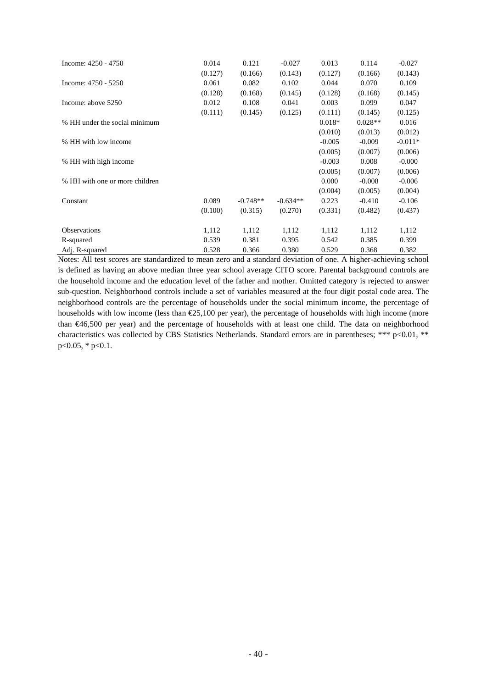| Income: $4250 - 4750$          | 0.014   | 0.121      | $-0.027$   | 0.013    | 0.114     | $-0.027$  |
|--------------------------------|---------|------------|------------|----------|-----------|-----------|
|                                | (0.127) | (0.166)    | (0.143)    | (0.127)  | (0.166)   | (0.143)   |
| Income: $4750 - 5250$          | 0.061   | 0.082      | 0.102      | 0.044    | 0.070     | 0.109     |
|                                | (0.128) | (0.168)    | (0.145)    | (0.128)  | (0.168)   | (0.145)   |
| Income: above 5250             | 0.012   | 0.108      | 0.041      | 0.003    | 0.099     | 0.047     |
|                                | (0.111) | (0.145)    | (0.125)    | (0.111)  | (0.145)   | (0.125)   |
| % HH under the social minimum  |         |            |            | $0.018*$ | $0.028**$ | 0.016     |
|                                |         |            |            | (0.010)  | (0.013)   | (0.012)   |
| % HH with low income           |         |            |            | $-0.005$ | $-0.009$  | $-0.011*$ |
|                                |         |            |            | (0.005)  | (0.007)   | (0.006)   |
| % HH with high income          |         |            |            | $-0.003$ | 0.008     | $-0.000$  |
|                                |         |            |            | (0.005)  | (0.007)   | (0.006)   |
| % HH with one or more children |         |            |            | 0.000    | $-0.008$  | $-0.006$  |
|                                |         |            |            | (0.004)  | (0.005)   | (0.004)   |
| Constant                       | 0.089   | $-0.748**$ | $-0.634**$ | 0.223    | $-0.410$  | $-0.106$  |
|                                | (0.100) | (0.315)    | (0.270)    | (0.331)  | (0.482)   | (0.437)   |
| <b>Observations</b>            | 1,112   | 1,112      | 1,112      | 1,112    | 1,112     | 1,112     |
| R-squared                      | 0.539   | 0.381      | 0.395      | 0.542    | 0.385     | 0.399     |
| Adj. R-squared                 | 0.528   | 0.366      | 0.380      | 0.529    | 0.368     | 0.382     |

Notes: All test scores are standardized to mean zero and a standard deviation of one. A higher-achieving school is defined as having an above median three year school average CITO score. Parental background controls are the household income and the education level of the father and mother. Omitted category is rejected to answer sub-question. Neighborhood controls include a set of variables measured at the four digit postal code area. The neighborhood controls are the percentage of households under the social minimum income, the percentage of households with low income (less than €25,100 per year), the percentage of households with high income (more than €46,500 per year) and the percentage of households with at least one child. The data on neighborhood characteristics was collected by CBS Statistics Netherlands. Standard errors are in parentheses; \*\*\* p<0.01, \*\*  $p<0.05$ , \*  $p<0.1$ .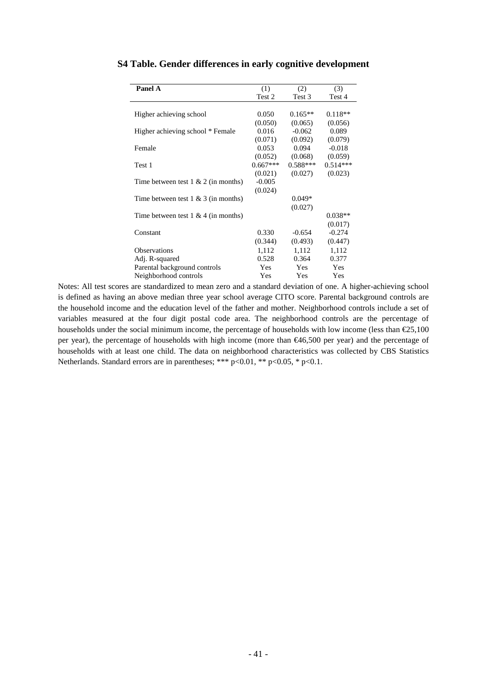| Panel A                                | (1)        | (2)        | (3)        |
|----------------------------------------|------------|------------|------------|
|                                        | Test 2     | Test 3     | Test 4     |
|                                        |            |            |            |
| Higher achieving school                | 0.050      | $0.165**$  | $0.118**$  |
|                                        | (0.050)    | (0.065)    | (0.056)    |
| Higher achieving school * Female       | 0.016      | $-0.062$   | 0.089      |
|                                        | (0.071)    | (0.092)    | (0.079)    |
| Female                                 | 0.053      | 0.094      | $-0.018$   |
|                                        | (0.052)    | (0.068)    | (0.059)    |
| Test 1                                 | $0.667***$ | $0.588***$ | $0.514***$ |
|                                        | (0.021)    | (0.027)    | (0.023)    |
| Time between test $1 \& 2$ (in months) | $-0.005$   |            |            |
|                                        | (0.024)    |            |            |
| Time between test $1 \& 3$ (in months) |            | $0.049*$   |            |
|                                        |            | (0.027)    |            |
| Time between test $1 \& 4$ (in months) |            |            | $0.038**$  |
|                                        |            |            | (0.017)    |
| Constant                               | 0.330      | $-0.654$   | $-0.274$   |
|                                        | (0.344)    | (0.493)    | (0.447)    |
| <b>Observations</b>                    | 1,112      | 1,112      | 1,112      |
| Adj. R-squared                         | 0.528      | 0.364      | 0.377      |
| Parental background controls           | Yes        | Yes        | Yes        |
| Neighborhood controls                  | Yes        | Yes        | Yes        |

#### **S4 Table. Gender differences in early cognitive development**

Notes: All test scores are standardized to mean zero and a standard deviation of one. A higher-achieving school is defined as having an above median three year school average CITO score. Parental background controls are the household income and the education level of the father and mother. Neighborhood controls include a set of variables measured at the four digit postal code area. The neighborhood controls are the percentage of households under the social minimum income, the percentage of households with low income (less than  $\epsilon$ 25,100 per year), the percentage of households with high income (more than €46,500 per year) and the percentage of households with at least one child. The data on neighborhood characteristics was collected by CBS Statistics Netherlands. Standard errors are in parentheses; \*\*\* p<0.01, \*\* p<0.05, \* p<0.1.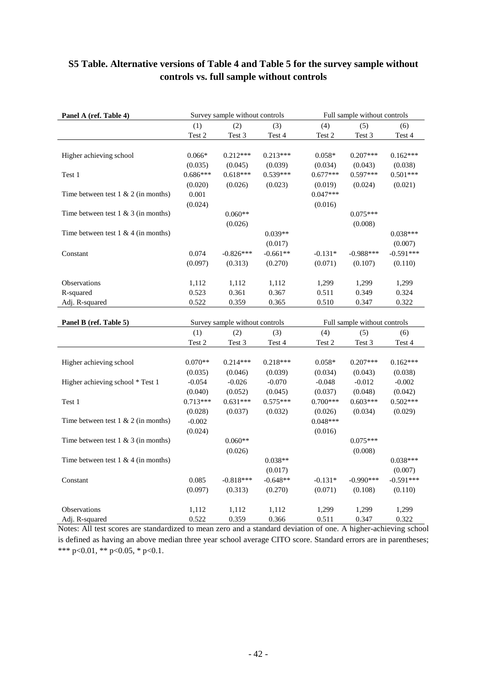## **S5 Table. Alternative versions of Table 4 and Table 5 for the survey sample without controls vs. full sample without controls**

| Panel A (ref. Table 4)                  | Survey sample without controls |                                |                         | Full sample without controls    |                              |             |
|-----------------------------------------|--------------------------------|--------------------------------|-------------------------|---------------------------------|------------------------------|-------------|
|                                         | (1)                            | (2)                            | (3)                     | (4)                             | (5)                          | (6)         |
|                                         | Test 2                         | Test 3                         | Test 4                  | $\operatorname{\mathsf{Test}}2$ | Test 3                       | Test 4      |
|                                         |                                |                                |                         |                                 |                              |             |
| Higher achieving school                 | $0.066*$                       | $0.212***$                     | $0.213***$              | $0.058*$                        | $0.207***$                   | $0.162***$  |
|                                         | (0.035)                        | (0.045)                        | (0.039)                 | (0.034)                         | (0.043)                      | (0.038)     |
| Test 1                                  | $0.686***$                     | $0.618***$                     | $0.539***$              | $0.677***$                      | $0.597***$                   | $0.501***$  |
|                                         | (0.020)                        | (0.026)                        | (0.023)                 | (0.019)                         | (0.024)                      | (0.021)     |
| Time between test $1 \& 2$ (in months)  | 0.001                          |                                |                         | $0.047***$                      |                              |             |
|                                         | (0.024)                        |                                |                         | (0.016)                         |                              |             |
| Time between test $1 \& 3$ (in months)  |                                | $0.060**$                      |                         |                                 | $0.075***$                   |             |
|                                         |                                | (0.026)                        |                         |                                 | (0.008)                      |             |
| Time between test $1 \& 4$ (in months)  |                                |                                | $0.039**$               |                                 |                              | $0.038***$  |
|                                         |                                |                                | (0.017)                 |                                 |                              | (0.007)     |
| Constant                                | 0.074                          | $-0.826***$                    | $-0.661**$              | $-0.131*$                       | $-0.988***$                  | $-0.591***$ |
|                                         | (0.097)                        | (0.313)                        | (0.270)                 | (0.071)                         | (0.107)                      | (0.110)     |
|                                         |                                |                                |                         |                                 |                              |             |
| Observations                            | 1,112                          | 1,112                          | 1,112                   | 1,299                           | 1,299                        | 1,299       |
| R-squared                               | 0.523                          | 0.361                          | 0.367                   | 0.511                           | 0.349                        | 0.324       |
| Adj. R-squared                          | 0.522                          | 0.359                          | 0.365                   | 0.510                           | 0.347                        | 0.322       |
|                                         |                                |                                |                         |                                 |                              |             |
| Panel B (ref. Table 5)                  |                                | Survey sample without controls |                         |                                 | Full sample without controls |             |
|                                         | (1)                            | (2)                            | (3)                     | (4)                             | (5)                          | (6)         |
|                                         | Test 2                         | Test 3                         | Test 4                  | Test 2                          | Test 3                       | Test 4      |
|                                         |                                |                                |                         |                                 |                              |             |
| Higher achieving school                 | $0.070**$                      | $0.214***$                     | $0.218***$              | $0.058*$                        | $0.207***$                   | $0.162***$  |
|                                         | (0.035)                        | (0.046)                        | (0.039)                 | (0.034)                         | (0.043)                      | (0.038)     |
| Higher achieving school * Test 1        | $-0.054$                       | $-0.026$                       | $-0.070$                | $-0.048$                        | $-0.012$                     | $-0.002$    |
|                                         | (0.040)                        | (0.052)                        | (0.045)                 | (0.037)                         | (0.048)                      | (0.042)     |
| Test 1                                  | $0.713***$                     | $0.631***$                     | $0.575***$              | $0.700***$                      | $0.603***$                   | $0.502***$  |
|                                         | (0.028)                        | (0.037)                        | (0.032)                 | (0.026)                         | (0.034)                      | (0.029)     |
| Time between test $1 \& 2$ (in months)  | $-0.002$                       |                                |                         | $0.048***$                      |                              |             |
|                                         | (0.024)                        |                                |                         | (0.016)                         |                              |             |
| Time between test $1 \& 3$ (in months)  |                                | $0.060**$                      |                         |                                 | $0.075***$                   |             |
|                                         |                                | (0.026)                        |                         |                                 | (0.008)                      |             |
| Time between test $1 \& 4$ (in months)  |                                |                                | $0.038**$               |                                 |                              | $0.038***$  |
|                                         |                                |                                | (0.017)                 |                                 |                              | (0.007)     |
| Constant                                | 0.085                          | $-0.818***$                    | $-0.648**$              | $-0.131*$                       | $-0.990***$                  | $-0.591***$ |
|                                         | (0.097)                        | (0.313)                        | (0.270)                 | (0.071)                         | (0.108)                      | (0.110)     |
|                                         |                                |                                |                         |                                 |                              |             |
| Observations                            | 1,112                          | 1,112                          | 1,112                   | 1,299                           | 1,299                        | 1,299       |
| Adj. R-squared<br>2.4114<br>د : 1 سامبر | 0.522<br>له له د               | 0.359<br>$\mathbf{I}$          | 0.366<br>فهمنيتيه السما | 0.511<br>$\mathbf{r}$ .         | 0.347                        | 0.322       |

Notes: All test scores are standardized to mean zero and a standard deviation of one. A higher-achieving school is defined as having an above median three year school average CITO score. Standard errors are in parentheses; \*\*\* p<0.01, \*\* p<0.05, \* p<0.1.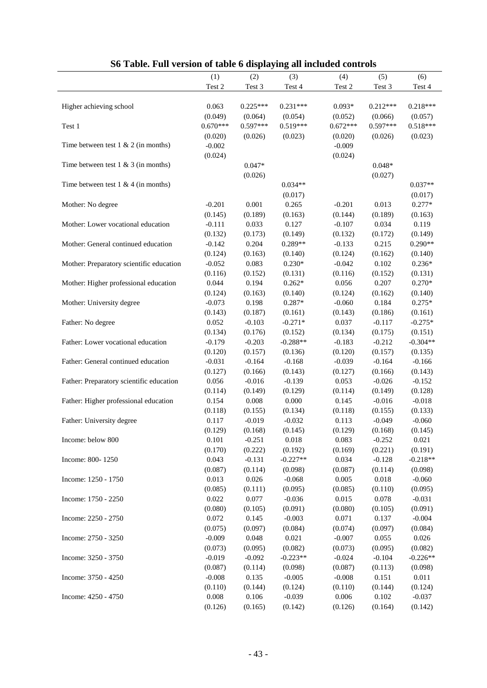|                                          | (1)        | (2)        | (3)        | (4)        | (5)        | (6)        |
|------------------------------------------|------------|------------|------------|------------|------------|------------|
|                                          | Test 2     | Test 3     | Test 4     | Test 2     | Test 3     | Test 4     |
| Higher achieving school                  | 0.063      | $0.225***$ | $0.231***$ | $0.093*$   | $0.212***$ | $0.218***$ |
|                                          | (0.049)    | (0.064)    | (0.054)    | (0.052)    | (0.066)    | (0.057)    |
| Test 1                                   | $0.670***$ | 0.597***   | $0.519***$ | $0.672***$ | 0.597***   | $0.518***$ |
|                                          | (0.020)    | (0.026)    | (0.023)    | (0.020)    | (0.026)    | (0.023)    |
| Time between test $1 \& 2$ (in months)   | $-0.002$   |            |            | $-0.009$   |            |            |
|                                          | (0.024)    |            |            | (0.024)    |            |            |
| Time between test $1 \& 3$ (in months)   |            | $0.047*$   |            |            | $0.048*$   |            |
|                                          |            | (0.026)    |            |            | (0.027)    |            |
| Time between test $1 \& 4$ (in months)   |            |            | $0.034**$  |            |            | $0.037**$  |
|                                          |            |            | (0.017)    |            |            | (0.017)    |
| Mother: No degree                        | $-0.201$   | 0.001      | 0.265      | $-0.201$   | 0.013      | $0.277*$   |
|                                          | (0.145)    | (0.189)    | (0.163)    | (0.144)    | (0.189)    | (0.163)    |
| Mother: Lower vocational education       | $-0.111$   | 0.033      | 0.127      | $-0.107$   | 0.034      | 0.119      |
|                                          | (0.132)    | (0.173)    | (0.149)    | (0.132)    | (0.172)    | (0.149)    |
| Mother: General continued education      | $-0.142$   | 0.204      | 0.289**    | $-0.133$   | 0.215      | $0.290**$  |
|                                          | (0.124)    | (0.163)    | (0.140)    | (0.124)    | (0.162)    | (0.140)    |
| Mother: Preparatory scientific education | $-0.052$   | 0.083      | $0.230*$   | $-0.042$   | 0.102      | $0.236*$   |
|                                          | (0.116)    | (0.152)    | (0.131)    | (0.116)    | (0.152)    | (0.131)    |
| Mother: Higher professional education    | 0.044      | 0.194      | $0.262*$   | 0.056      | 0.207      | $0.270*$   |
|                                          | (0.124)    | (0.163)    | (0.140)    | (0.124)    | (0.162)    | (0.140)    |
| Mother: University degree                | $-0.073$   | 0.198      | $0.287*$   | $-0.060$   | 0.184      | $0.275*$   |
|                                          | (0.143)    | (0.187)    | (0.161)    | (0.143)    | (0.186)    | (0.161)    |
| Father: No degree                        | 0.052      | $-0.103$   | $-0.271*$  | 0.037      | $-0.117$   | $-0.275*$  |
|                                          | (0.134)    | (0.176)    | (0.152)    | (0.134)    | (0.175)    | (0.151)    |
| Father: Lower vocational education       | $-0.179$   | $-0.203$   | $-0.288**$ | $-0.183$   | $-0.212$   | $-0.304**$ |
|                                          | (0.120)    | (0.157)    | (0.136)    | (0.120)    | (0.157)    | (0.135)    |
| Father: General continued education      | $-0.031$   | $-0.164$   | $-0.168$   | $-0.039$   | $-0.164$   | $-0.166$   |
|                                          | (0.127)    | (0.166)    | (0.143)    | (0.127)    | (0.166)    | (0.143)    |
| Father: Preparatory scientific education | 0.056      | $-0.016$   | $-0.139$   | 0.053      | $-0.026$   | $-0.152$   |
|                                          | (0.114)    | (0.149)    | (0.129)    | (0.114)    | (0.149)    | (0.128)    |
| Father: Higher professional education    | 0.154      | 0.008      | 0.000      | 0.145      | $-0.016$   | $-0.018$   |
|                                          | (0.118)    | (0.155)    | (0.134)    | (0.118)    | (0.155)    | (0.133)    |
| Father: University degree                | 0.117      | $-0.019$   | $-0.032$   | 0.113      | $-0.049$   | $-0.060$   |
|                                          | (0.129)    | (0.168)    | (0.145)    | (0.129)    | (0.168)    | (0.145)    |
| Income: below 800                        | 0.101      | $-0.251$   | 0.018      | 0.083      | $-0.252$   | 0.021      |
|                                          | (0.170)    | (0.222)    | (0.192)    | (0.169)    | (0.221)    | (0.191)    |
| Income: 800-1250                         | 0.043      | $-0.131$   | $-0.227**$ | 0.034      | $-0.128$   | $-0.218**$ |
|                                          | (0.087)    | (0.114)    | (0.098)    | (0.087)    | (0.114)    | (0.098)    |
| Income: 1250 - 1750                      | 0.013      | 0.026      | $-0.068$   | 0.005      | 0.018      | $-0.060$   |
|                                          | (0.085)    | (0.111)    | (0.095)    | (0.085)    | (0.110)    | (0.095)    |
| Income: 1750 - 2250                      | 0.022      | 0.077      | $-0.036$   | 0.015      | 0.078      | $-0.031$   |
|                                          | (0.080)    | (0.105)    | (0.091)    | (0.080)    | (0.105)    | (0.091)    |
| Income: 2250 - 2750                      | 0.072      | 0.145      | $-0.003$   | 0.071      | 0.137      | $-0.004$   |
|                                          | (0.075)    | (0.097)    | (0.084)    | (0.074)    | (0.097)    | (0.084)    |
| Income: 2750 - 3250                      | $-0.009$   | 0.048      | 0.021      | $-0.007$   | 0.055      | 0.026      |
|                                          | (0.073)    | (0.095)    | (0.082)    | (0.073)    | (0.095)    | (0.082)    |
| Income: 3250 - 3750                      | $-0.019$   | $-0.092$   | $-0.223**$ | $-0.024$   | $-0.104$   | $-0.226**$ |
|                                          | (0.087)    | (0.114)    | (0.098)    | (0.087)    | (0.113)    | (0.098)    |
| Income: 3750 - 4250                      | $-0.008$   | 0.135      | $-0.005$   | $-0.008$   | 0.151      | 0.011      |
|                                          | (0.110)    | (0.144)    | (0.124)    | (0.110)    | (0.144)    | (0.124)    |
| Income: 4250 - 4750                      | 0.008      | 0.106      | $-0.039$   | 0.006      | 0.102      | $-0.037$   |
|                                          | (0.126)    | (0.165)    | (0.142)    | (0.126)    | (0.164)    | (0.142)    |

#### **S6 Table. Full version of table 6 displaying all included controls**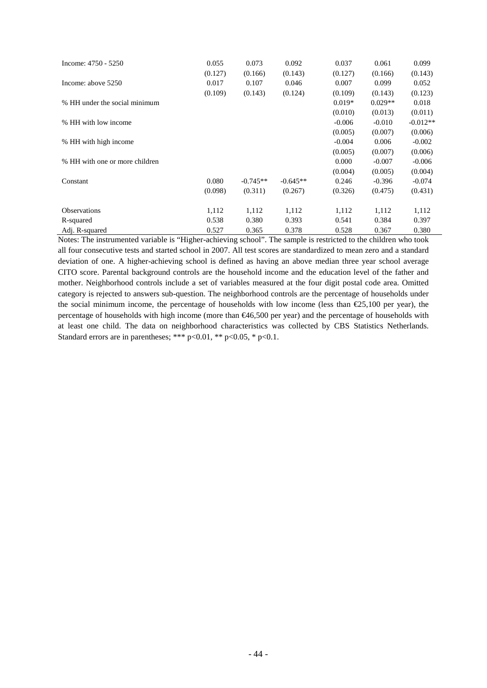| Income: $4750 - 5250$          | 0.055   | 0.073      | 0.092      | 0.037    | 0.061     | 0.099      |
|--------------------------------|---------|------------|------------|----------|-----------|------------|
|                                | (0.127) | (0.166)    | (0.143)    | (0.127)  | (0.166)   | (0.143)    |
| Income: above 5250             | 0.017   | 0.107      | 0.046      | 0.007    | 0.099     | 0.052      |
|                                | (0.109) | (0.143)    | (0.124)    | (0.109)  | (0.143)   | (0.123)    |
| % HH under the social minimum  |         |            |            | $0.019*$ | $0.029**$ | 0.018      |
|                                |         |            |            | (0.010)  | (0.013)   | (0.011)    |
| % HH with low income           |         |            |            | $-0.006$ | $-0.010$  | $-0.012**$ |
|                                |         |            |            | (0.005)  | (0.007)   | (0.006)    |
| % HH with high income          |         |            |            | $-0.004$ | 0.006     | $-0.002$   |
|                                |         |            |            | (0.005)  | (0.007)   | (0.006)    |
| % HH with one or more children |         |            |            | 0.000    | $-0.007$  | $-0.006$   |
|                                |         |            |            | (0.004)  | (0.005)   | (0.004)    |
| Constant                       | 0.080   | $-0.745**$ | $-0.645**$ | 0.246    | $-0.396$  | $-0.074$   |
|                                | (0.098) | (0.311)    | (0.267)    | (0.326)  | (0.475)   | (0.431)    |
| <b>Observations</b>            | 1,112   | 1,112      | 1,112      | 1,112    | 1,112     | 1,112      |
| R-squared                      | 0.538   | 0.380      | 0.393      | 0.541    | 0.384     | 0.397      |
| Adj. R-squared                 | 0.527   | 0.365      | 0.378      | 0.528    | 0.367     | 0.380      |

Notes: The instrumented variable is "Higher-achieving school". The sample is restricted to the children who took all four consecutive tests and started school in 2007. All test scores are standardized to mean zero and a standard deviation of one. A higher-achieving school is defined as having an above median three year school average CITO score. Parental background controls are the household income and the education level of the father and mother. Neighborhood controls include a set of variables measured at the four digit postal code area. Omitted category is rejected to answers sub-question. The neighborhood controls are the percentage of households under the social minimum income, the percentage of households with low income (less than  $\epsilon$ 25,100 per year), the percentage of households with high income (more than €46,500 per year) and the percentage of households with at least one child. The data on neighborhood characteristics was collected by CBS Statistics Netherlands. Standard errors are in parentheses; \*\*\*  $p<0.01$ , \*\*  $p<0.05$ , \*  $p<0.1$ .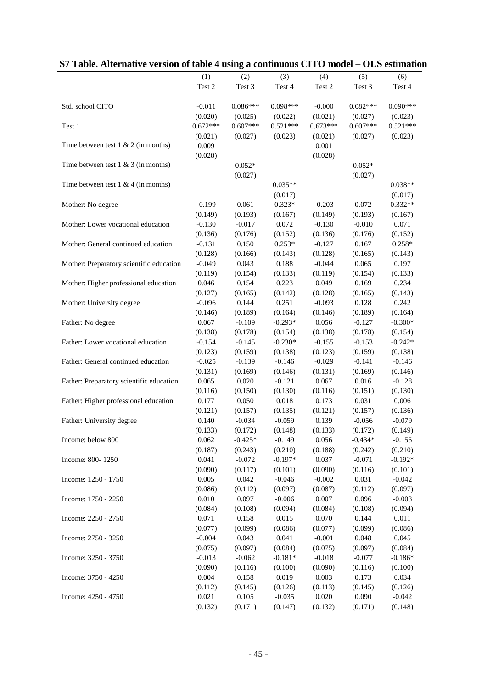|                                          | (1)        | (2)        | (3)        | (4)        | (5)        | (6)        |
|------------------------------------------|------------|------------|------------|------------|------------|------------|
|                                          | Test 2     | Test 3     | Test 4     | Test 2     | Test 3     | Test 4     |
|                                          |            |            |            |            |            |            |
| Std. school CITO                         | $-0.011$   | $0.086***$ | $0.098***$ | $-0.000$   | $0.082***$ | $0.090***$ |
|                                          | (0.020)    | (0.025)    | (0.022)    | (0.021)    | (0.027)    | (0.023)    |
| Test 1                                   | $0.672***$ | $0.607***$ | $0.521***$ | $0.673***$ | $0.607***$ | $0.521***$ |
|                                          | (0.021)    | (0.027)    | (0.023)    | (0.021)    | (0.027)    | (0.023)    |
| Time between test $1 \& 2$ (in months)   | 0.009      |            |            | 0.001      |            |            |
|                                          | (0.028)    |            |            | (0.028)    |            |            |
| Time between test $1 \& 3$ (in months)   |            | $0.052*$   |            |            | $0.052*$   |            |
|                                          |            | (0.027)    |            |            | (0.027)    |            |
| Time between test $1 \& 4$ (in months)   |            |            | $0.035**$  |            |            | $0.038**$  |
|                                          |            |            | (0.017)    |            |            | (0.017)    |
| Mother: No degree                        | $-0.199$   | 0.061      | $0.323*$   | $-0.203$   | 0.072      | $0.332**$  |
|                                          | (0.149)    | (0.193)    | (0.167)    | (0.149)    | (0.193)    | (0.167)    |
| Mother: Lower vocational education       | $-0.130$   | $-0.017$   | 0.072      | $-0.130$   | $-0.010$   | 0.071      |
|                                          | (0.136)    | (0.176)    | (0.152)    | (0.136)    | (0.176)    | (0.152)    |
| Mother: General continued education      | $-0.131$   | 0.150      | $0.253*$   | $-0.127$   | 0.167      | $0.258*$   |
|                                          | (0.128)    | (0.166)    | (0.143)    | (0.128)    | (0.165)    | (0.143)    |
| Mother: Preparatory scientific education | $-0.049$   | 0.043      | 0.188      | $-0.044$   | 0.065      | 0.197      |
|                                          | (0.119)    | (0.154)    | (0.133)    | (0.119)    | (0.154)    | (0.133)    |
| Mother: Higher professional education    | 0.046      | 0.154      | 0.223      | 0.049      | 0.169      | 0.234      |
|                                          | (0.127)    | (0.165)    | (0.142)    | (0.128)    | (0.165)    | (0.143)    |
| Mother: University degree                | $-0.096$   | 0.144      | 0.251      | $-0.093$   | 0.128      | 0.242      |
|                                          | (0.146)    | (0.189)    | (0.164)    | (0.146)    | (0.189)    | (0.164)    |
| Father: No degree                        | 0.067      | $-0.109$   | $-0.293*$  | 0.056      | $-0.127$   | $-0.300*$  |
|                                          | (0.138)    | (0.178)    | (0.154)    | (0.138)    | (0.178)    | (0.154)    |
| Father: Lower vocational education       | $-0.154$   | $-0.145$   | $-0.230*$  | $-0.155$   | $-0.153$   | $-0.242*$  |
|                                          | (0.123)    | (0.159)    | (0.138)    | (0.123)    | (0.159)    | (0.138)    |
| Father: General continued education      | $-0.025$   | $-0.139$   | $-0.146$   | $-0.029$   | $-0.141$   | $-0.146$   |
|                                          | (0.131)    | (0.169)    | (0.146)    | (0.131)    | (0.169)    | (0.146)    |
| Father: Preparatory scientific education | 0.065      | 0.020      | $-0.121$   | 0.067      | 0.016      | $-0.128$   |
|                                          | (0.116)    | (0.150)    | (0.130)    | (0.116)    | (0.151)    | (0.130)    |
| Father: Higher professional education    | 0.177      | 0.050      | 0.018      | 0.173      | 0.031      | 0.006      |
|                                          | (0.121)    | (0.157)    | (0.135)    | (0.121)    | (0.157)    | (0.136)    |
| Father: University degree                | 0.140      | $-0.034$   | $-0.059$   | 0.139      | $-0.056$   | $-0.079$   |
|                                          | (0.133)    | (0.172)    | (0.148)    | (0.133)    | (0.172)    | (0.149)    |
| Income: below 800                        | 0.062      | $-0.425*$  | $-0.149$   | 0.056      | $-0.434*$  | $-0.155$   |
|                                          | (0.187)    | (0.243)    | (0.210)    | (0.188)    | (0.242)    | (0.210)    |
| Income: 800-1250                         | 0.041      | $-0.072$   | $-0.197*$  | 0.037      | $-0.071$   | $-0.192*$  |
|                                          | (0.090)    | (0.117)    | (0.101)    | (0.090)    | (0.116)    | (0.101)    |
| Income: 1250 - 1750                      | 0.005      | 0.042      | $-0.046$   | $-0.002$   | 0.031      | $-0.042$   |
|                                          | (0.086)    | (0.112)    | (0.097)    | (0.087)    | (0.112)    | (0.097)    |
| Income: 1750 - 2250                      | 0.010      | 0.097      | $-0.006$   | 0.007      | 0.096      | $-0.003$   |
|                                          | (0.084)    | (0.108)    | (0.094)    | (0.084)    | (0.108)    | (0.094)    |
| Income: 2250 - 2750                      | 0.071      | 0.158      | 0.015      | 0.070      | 0.144      | 0.011      |
|                                          | (0.077)    | (0.099)    | (0.086)    | (0.077)    | (0.099)    | (0.086)    |
| Income: 2750 - 3250                      | $-0.004$   | 0.043      | 0.041      | $-0.001$   | 0.048      | 0.045      |
|                                          | (0.075)    | (0.097)    | (0.084)    | (0.075)    | (0.097)    | (0.084)    |
| Income: 3250 - 3750                      | $-0.013$   | $-0.062$   | $-0.181*$  | $-0.018$   | $-0.077$   | $-0.186*$  |
|                                          | (0.090)    | (0.116)    | (0.100)    | (0.090)    | (0.116)    | (0.100)    |
| Income: 3750 - 4250                      | 0.004      | 0.158      | 0.019      | 0.003      | 0.173      | 0.034      |
|                                          | (0.112)    | (0.145)    | (0.126)    | (0.113)    | (0.145)    | (0.126)    |
| Income: 4250 - 4750                      | 0.021      | 0.105      | $-0.035$   | 0.020      | 0.090      | $-0.042$   |
|                                          | (0.132)    | (0.171)    | (0.147)    | (0.132)    | (0.171)    | (0.148)    |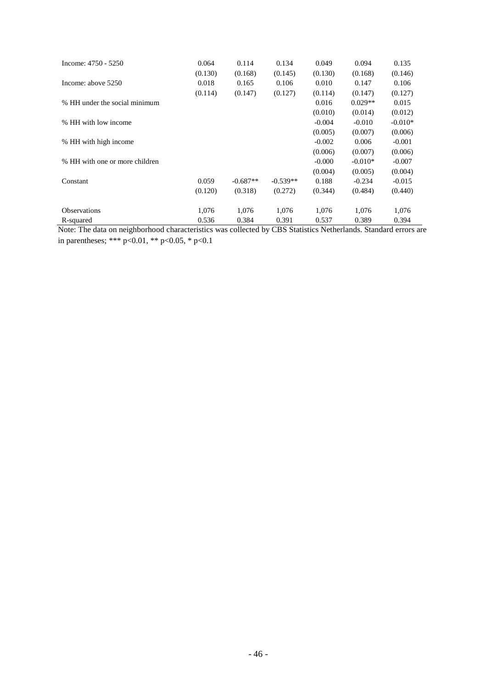| Income: $4750 - 5250$          | 0.064   | 0.114      | 0.134      | 0.049    | 0.094     | 0.135     |
|--------------------------------|---------|------------|------------|----------|-----------|-----------|
|                                | (0.130) | (0.168)    | (0.145)    | (0.130)  | (0.168)   | (0.146)   |
| Income: above 5250             | 0.018   | 0.165      | 0.106      | 0.010    | 0.147     | 0.106     |
|                                | (0.114) | (0.147)    | (0.127)    | (0.114)  | (0.147)   | (0.127)   |
| % HH under the social minimum  |         |            |            | 0.016    | $0.029**$ | 0.015     |
|                                |         |            |            | (0.010)  | (0.014)   | (0.012)   |
| % HH with low income           |         |            |            | $-0.004$ | $-0.010$  | $-0.010*$ |
|                                |         |            |            | (0.005)  | (0.007)   | (0.006)   |
| % HH with high income          |         |            |            | $-0.002$ | 0.006     | $-0.001$  |
|                                |         |            |            | (0.006)  | (0.007)   | (0.006)   |
| % HH with one or more children |         |            |            | $-0.000$ | $-0.010*$ | $-0.007$  |
|                                |         |            |            | (0.004)  | (0.005)   | (0.004)   |
| Constant                       | 0.059   | $-0.687**$ | $-0.539**$ | 0.188    | $-0.234$  | $-0.015$  |
|                                | (0.120) | (0.318)    | (0.272)    | (0.344)  | (0.484)   | (0.440)   |
|                                |         |            |            |          |           |           |
| <b>Observations</b>            | 1,076   | 1,076      | 1,076      | 1,076    | 1,076     | 1,076     |
| R-squared                      | 0.536   | 0.384      | 0.391      | 0.537    | 0.389     | 0.394     |

Note: The data on neighborhood characteristics was collected by CBS Statistics Netherlands. Standard errors are in parentheses; \*\*\* p<0.01, \*\* p<0.05, \* p<0.1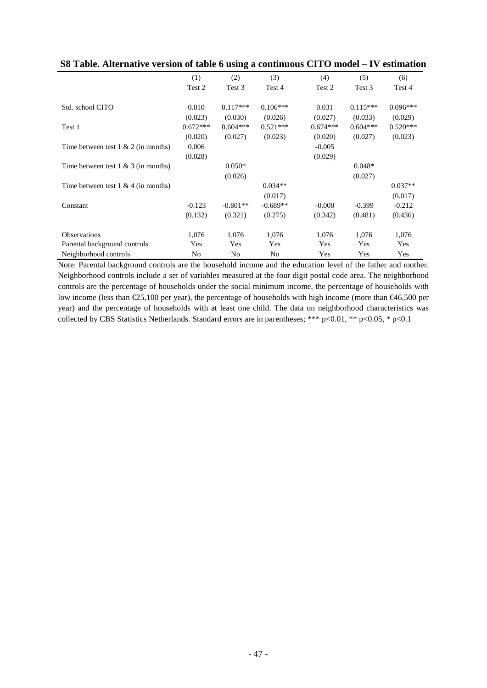|                                        | (1)            | (2)        | (3)        | (4)        | (5)        | (6)        |
|----------------------------------------|----------------|------------|------------|------------|------------|------------|
|                                        | Test 2         | Test 3     | Test 4     | Test 2     | Test 3     | Test 4     |
|                                        |                |            |            |            |            |            |
| Std. school CITO                       | 0.010          | $0.117***$ | $0.106***$ | 0.031      | $0.115***$ | $0.096***$ |
|                                        | (0.023)        | (0.030)    | (0.026)    | (0.027)    | (0.033)    | (0.029)    |
| Test 1                                 | $0.672***$     | $0.604***$ | $0.521***$ | $0.674***$ | $0.604***$ | $0.520***$ |
|                                        | (0.020)        | (0.027)    | (0.023)    | (0.020)    | (0.027)    | (0.023)    |
| Time between test $1 \& 2$ (in months) | 0.006          |            |            | $-0.005$   |            |            |
|                                        | (0.028)        |            |            | (0.029)    |            |            |
| Time between test $1 \& 3$ (in months) |                | $0.050*$   |            |            | $0.048*$   |            |
|                                        |                | (0.026)    |            |            | (0.027)    |            |
| Time between test $1 \& 4$ (in months) |                |            | $0.034**$  |            |            | $0.037**$  |
|                                        |                |            | (0.017)    |            |            | (0.017)    |
| Constant                               | $-0.123$       | $-0.801**$ | $-0.689**$ | $-0.000$   | $-0.399$   | $-0.212$   |
|                                        | (0.132)        | (0.321)    | (0.275)    | (0.342)    | (0.481)    | (0.436)    |
| <b>Observations</b>                    | 1,076          | 1,076      | 1,076      | 1,076      | 1,076      | 1,076      |
| Parental background controls           | Yes            | Yes        | Yes        | Yes        | Yes        | <b>Yes</b> |
| Neighborhood controls                  | N <sub>0</sub> | No         | No         | Yes        | Yes        | Yes        |

**S8 Table. Alternative version of table 6 using a continuous CITO model – IV estimation**

Note: Parental background controls are the household income and the education level of the father and mother. Neighborhood controls include a set of variables measured at the four digit postal code area. The neighborhood controls are the percentage of households under the social minimum income, the percentage of households with low income (less than €25,100 per year), the percentage of households with high income (more than €46,500 per year) and the percentage of households with at least one child. The data on neighborhood characteristics was collected by CBS Statistics Netherlands. Standard errors are in parentheses; \*\*\* p<0.01, \*\* p<0.05, \* p<0.1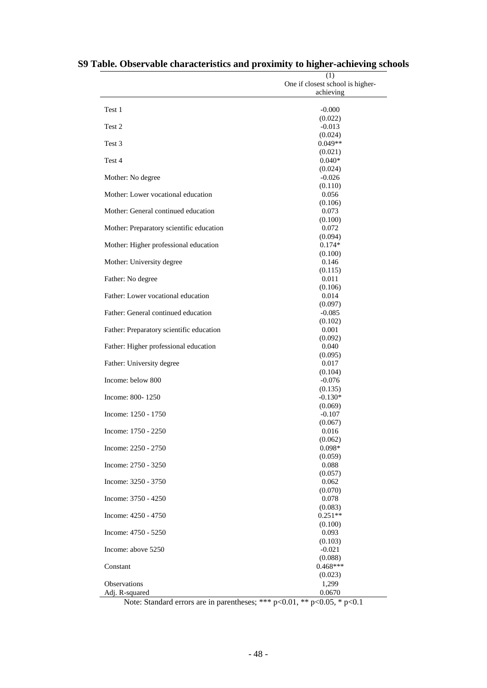|                                          | (1)                              |  |  |  |  |
|------------------------------------------|----------------------------------|--|--|--|--|
|                                          | One if closest school is higher- |  |  |  |  |
|                                          | achieving                        |  |  |  |  |
| Test 1                                   | $-0.000$                         |  |  |  |  |
|                                          | (0.022)                          |  |  |  |  |
| Test 2                                   | $-0.013$                         |  |  |  |  |
| Test 3                                   | (0.024)<br>$0.049**$             |  |  |  |  |
|                                          | (0.021)                          |  |  |  |  |
| Test 4                                   | $0.040*$                         |  |  |  |  |
|                                          | (0.024)                          |  |  |  |  |
| Mother: No degree                        | $-0.026$                         |  |  |  |  |
| Mother: Lower vocational education       | (0.110)<br>0.056                 |  |  |  |  |
|                                          | (0.106)                          |  |  |  |  |
| Mother: General continued education      | 0.073                            |  |  |  |  |
|                                          | (0.100)                          |  |  |  |  |
| Mother: Preparatory scientific education | 0.072                            |  |  |  |  |
|                                          | (0.094)                          |  |  |  |  |
| Mother: Higher professional education    | $0.174*$                         |  |  |  |  |
| Mother: University degree                | (0.100)<br>0.146                 |  |  |  |  |
|                                          | (0.115)                          |  |  |  |  |
| Father: No degree                        | 0.011                            |  |  |  |  |
|                                          | (0.106)                          |  |  |  |  |
| Father: Lower vocational education       | 0.014                            |  |  |  |  |
|                                          | (0.097)                          |  |  |  |  |
| Father: General continued education      | $-0.085$                         |  |  |  |  |
| Father: Preparatory scientific education | (0.102)<br>0.001                 |  |  |  |  |
|                                          | (0.092)                          |  |  |  |  |
| Father: Higher professional education    | 0.040                            |  |  |  |  |
|                                          | (0.095)                          |  |  |  |  |
| Father: University degree                | 0.017                            |  |  |  |  |
| Income: below 800                        | (0.104)<br>$-0.076$              |  |  |  |  |
|                                          | (0.135)                          |  |  |  |  |
| Income: 800-1250                         | $-0.130*$                        |  |  |  |  |
|                                          | (0.069)                          |  |  |  |  |
| Income: 1250 - 1750                      | $-0.107$                         |  |  |  |  |
|                                          | (0.067)                          |  |  |  |  |
| Income: 1750 - 2250                      | 0.016<br>(0.062)                 |  |  |  |  |
| Income: 2250 - 2750                      | $0.098*$                         |  |  |  |  |
|                                          | (0.059)                          |  |  |  |  |
| Income: 2750 - 3250                      | 0.088                            |  |  |  |  |
|                                          | (0.057)                          |  |  |  |  |
| Income: 3250 - 3750                      | 0.062                            |  |  |  |  |
| Income: 3750 - 4250                      | (0.070)<br>0.078                 |  |  |  |  |
|                                          | (0.083)                          |  |  |  |  |
| Income: 4250 - 4750                      | $0.251**$                        |  |  |  |  |
|                                          | (0.100)                          |  |  |  |  |
| Income: 4750 - 5250                      | 0.093                            |  |  |  |  |
|                                          | (0.103)                          |  |  |  |  |
| Income: above 5250                       | $-0.021$<br>(0.088)              |  |  |  |  |
| Constant                                 | $0.468***$                       |  |  |  |  |
|                                          | (0.023)                          |  |  |  |  |
| Observations                             | 1,299                            |  |  |  |  |
| Adj. R-squared                           | 0.0670                           |  |  |  |  |

**S9 Table. Observable characteristics and proximity to higher-achieving schools**

Note: Standard errors are in parentheses; \*\*\* p<0.01, \*\* p<0.05, \* p<0.1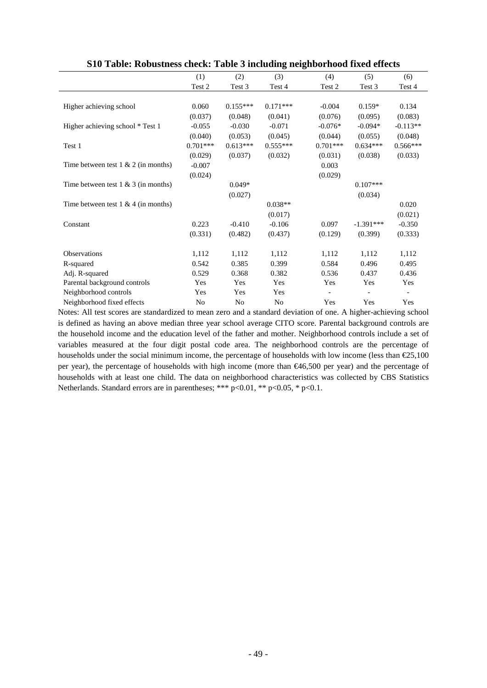|                                        | (1)        | (2)        | (3)        | (4)                      | (5)                      | (6)                      |
|----------------------------------------|------------|------------|------------|--------------------------|--------------------------|--------------------------|
|                                        | Test 2     | Test 3     | Test 4     | Test 2                   | Test 3                   | Test 4                   |
|                                        |            |            |            |                          |                          |                          |
| Higher achieving school                | 0.060      | $0.155***$ | $0.171***$ | $-0.004$                 | $0.159*$                 | 0.134                    |
|                                        | (0.037)    | (0.048)    | (0.041)    | (0.076)                  | (0.095)                  | (0.083)                  |
| Higher achieving school * Test 1       | $-0.055$   | $-0.030$   | $-0.071$   | $-0.076*$                | $-0.094*$                | $-0.113**$               |
|                                        | (0.040)    | (0.053)    | (0.045)    | (0.044)                  | (0.055)                  | (0.048)                  |
| Test 1                                 | $0.701***$ | $0.613***$ | $0.555***$ | $0.701***$               | $0.634***$               | $0.566***$               |
|                                        | (0.029)    | (0.037)    | (0.032)    | (0.031)                  | (0.038)                  | (0.033)                  |
| Time between test $1 \& 2$ (in months) | $-0.007$   |            |            | 0.003                    |                          |                          |
|                                        | (0.024)    |            |            | (0.029)                  |                          |                          |
| Time between test $1 \& 3$ (in months) |            | $0.049*$   |            |                          | $0.107***$               |                          |
|                                        |            | (0.027)    |            |                          | (0.034)                  |                          |
| Time between test $1 \& 4$ (in months) |            |            | $0.038**$  |                          |                          | 0.020                    |
|                                        |            |            | (0.017)    |                          |                          | (0.021)                  |
| Constant                               | 0.223      | $-0.410$   | $-0.106$   | 0.097                    | $-1.391***$              | $-0.350$                 |
|                                        | (0.331)    | (0.482)    | (0.437)    | (0.129)                  | (0.399)                  | (0.333)                  |
|                                        |            |            |            |                          |                          |                          |
| Observations                           | 1,112      | 1,112      | 1,112      | 1,112                    | 1,112                    | 1,112                    |
| R-squared                              | 0.542      | 0.385      | 0.399      | 0.584                    | 0.496                    | 0.495                    |
| Adj. R-squared                         | 0.529      | 0.368      | 0.382      | 0.536                    | 0.437                    | 0.436                    |
| Parental background controls           | Yes        | Yes        | Yes        | Yes                      | Yes                      | Yes                      |
| Neighborhood controls                  | Yes        | Yes        | Yes        | $\overline{\phantom{a}}$ | $\overline{\phantom{a}}$ | $\overline{\phantom{a}}$ |
| Neighborhood fixed effects             | No         | No         | No         | Yes                      | Yes                      | Yes                      |

**S10 Table: Robustness check: Table 3 including neighborhood fixed effects**

Notes: All test scores are standardized to mean zero and a standard deviation of one. A higher-achieving school is defined as having an above median three year school average CITO score. Parental background controls are the household income and the education level of the father and mother. Neighborhood controls include a set of variables measured at the four digit postal code area. The neighborhood controls are the percentage of households under the social minimum income, the percentage of households with low income (less than €25,100 per year), the percentage of households with high income (more than €46,500 per year) and the percentage of households with at least one child. The data on neighborhood characteristics was collected by CBS Statistics Netherlands. Standard errors are in parentheses; \*\*\* p<0.01, \*\* p<0.05, \* p<0.1.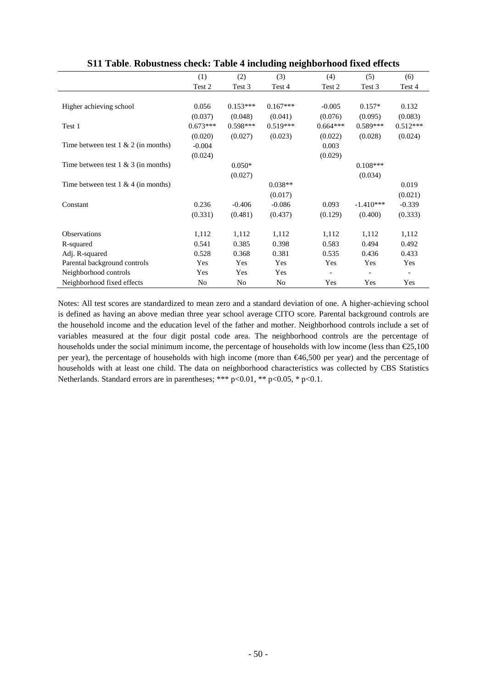|                                        | (1)        | (2)        | (3)        | (4)        | (5)         | (6)                      |
|----------------------------------------|------------|------------|------------|------------|-------------|--------------------------|
|                                        | Test 2     | Test 3     | Test 4     | Test 2     | Test 3      | Test 4                   |
|                                        |            |            |            |            |             |                          |
| Higher achieving school                | 0.056      | $0.153***$ | $0.167***$ | $-0.005$   | $0.157*$    | 0.132                    |
|                                        | (0.037)    | (0.048)    | (0.041)    | (0.076)    | (0.095)     | (0.083)                  |
| Test 1                                 | $0.673***$ | $0.598***$ | $0.519***$ | $0.664***$ | $0.589***$  | $0.512***$               |
|                                        | (0.020)    | (0.027)    | (0.023)    | (0.022)    | (0.028)     | (0.024)                  |
| Time between test $1 \& 2$ (in months) | $-0.004$   |            |            | 0.003      |             |                          |
|                                        | (0.024)    |            |            | (0.029)    |             |                          |
| Time between test $1 \& 3$ (in months) |            | $0.050*$   |            |            | $0.108***$  |                          |
|                                        |            | (0.027)    |            |            | (0.034)     |                          |
| Time between test $1 \& 4$ (in months) |            |            | $0.038**$  |            |             | 0.019                    |
|                                        |            |            | (0.017)    |            |             | (0.021)                  |
| Constant                               | 0.236      | $-0.406$   | $-0.086$   | 0.093      | $-1.410***$ | $-0.339$                 |
|                                        | (0.331)    | (0.481)    | (0.437)    | (0.129)    | (0.400)     | (0.333)                  |
|                                        |            |            |            |            |             |                          |
| <b>Observations</b>                    | 1,112      | 1,112      | 1,112      | 1,112      | 1,112       | 1,112                    |
| R-squared                              | 0.541      | 0.385      | 0.398      | 0.583      | 0.494       | 0.492                    |
| Adj. R-squared                         | 0.528      | 0.368      | 0.381      | 0.535      | 0.436       | 0.433                    |
| Parental background controls           | Yes        | Yes        | Yes        | Yes        | Yes         | Yes                      |
| Neighborhood controls                  | Yes        | Yes        | Yes        |            |             | $\overline{\phantom{a}}$ |
| Neighborhood fixed effects             | No         | No         | No         | Yes        | Yes         | Yes                      |

**S11 Table**. **Robustness check: Table 4 including neighborhood fixed effects**

Notes: All test scores are standardized to mean zero and a standard deviation of one. A higher-achieving school is defined as having an above median three year school average CITO score. Parental background controls are the household income and the education level of the father and mother. Neighborhood controls include a set of variables measured at the four digit postal code area. The neighborhood controls are the percentage of households under the social minimum income, the percentage of households with low income (less than  $E$ 25,100 per year), the percentage of households with high income (more than €46,500 per year) and the percentage of households with at least one child. The data on neighborhood characteristics was collected by CBS Statistics Netherlands. Standard errors are in parentheses; \*\*\* p<0.01, \*\* p<0.05, \* p<0.1.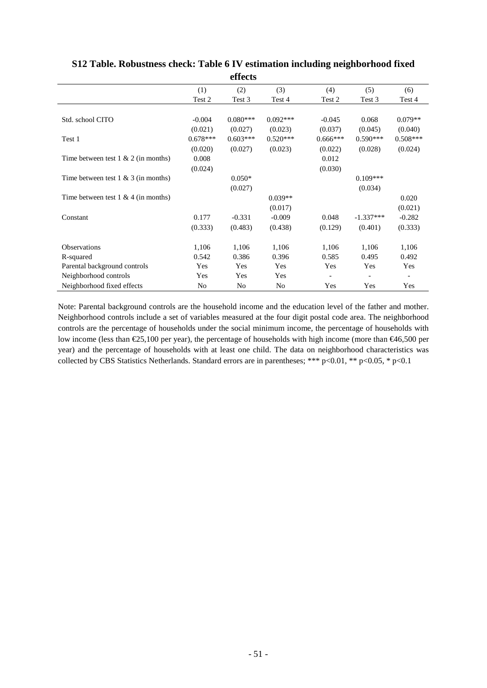| enecis                                 |            |            |            |            |             |                          |  |  |
|----------------------------------------|------------|------------|------------|------------|-------------|--------------------------|--|--|
|                                        | (1)        | (2)        | (3)        | (4)        | (5)         | (6)                      |  |  |
|                                        | Test 2     | Test 3     | Test 4     | Test 2     | Test 3      | Test 4                   |  |  |
|                                        |            |            |            |            |             |                          |  |  |
| Std. school CITO                       | $-0.004$   | $0.080***$ | $0.092***$ | $-0.045$   | 0.068       | $0.079**$                |  |  |
|                                        | (0.021)    | (0.027)    | (0.023)    | (0.037)    | (0.045)     | (0.040)                  |  |  |
| Test 1                                 | $0.678***$ | $0.603***$ | $0.520***$ | $0.666***$ | $0.590***$  | $0.508***$               |  |  |
|                                        | (0.020)    | (0.027)    | (0.023)    | (0.022)    | (0.028)     | (0.024)                  |  |  |
| Time between test $1 \& 2$ (in months) | 0.008      |            |            | 0.012      |             |                          |  |  |
|                                        | (0.024)    |            |            | (0.030)    |             |                          |  |  |
| Time between test $1 \& 3$ (in months) |            | $0.050*$   |            |            | $0.109***$  |                          |  |  |
|                                        |            | (0.027)    |            |            | (0.034)     |                          |  |  |
| Time between test $1 \& 4$ (in months) |            |            | $0.039**$  |            |             | 0.020                    |  |  |
|                                        |            |            | (0.017)    |            |             | (0.021)                  |  |  |
| Constant                               | 0.177      | $-0.331$   | $-0.009$   | 0.048      | $-1.337***$ | $-0.282$                 |  |  |
|                                        | (0.333)    | (0.483)    | (0.438)    | (0.129)    | (0.401)     | (0.333)                  |  |  |
| <b>Observations</b>                    | 1,106      | 1,106      | 1,106      | 1,106      | 1,106       | 1,106                    |  |  |
| R-squared                              | 0.542      | 0.386      | 0.396      | 0.585      | 0.495       | 0.492                    |  |  |
| Parental background controls           | Yes        | Yes        | Yes        | Yes        | Yes         | Yes                      |  |  |
| Neighborhood controls                  | Yes        | Yes        | Yes        |            |             | $\overline{\phantom{a}}$ |  |  |
| Neighborhood fixed effects             | No         | No         | No         | Yes        | Yes         | Yes                      |  |  |

#### **S12 Table. Robustness check: Table 6 IV estimation including neighborhood fixed effects**

Note: Parental background controls are the household income and the education level of the father and mother. Neighborhood controls include a set of variables measured at the four digit postal code area. The neighborhood controls are the percentage of households under the social minimum income, the percentage of households with low income (less than €25,100 per year), the percentage of households with high income (more than €46,500 per year) and the percentage of households with at least one child. The data on neighborhood characteristics was collected by CBS Statistics Netherlands. Standard errors are in parentheses; \*\*\* p<0.01, \*\* p<0.05, \* p<0.1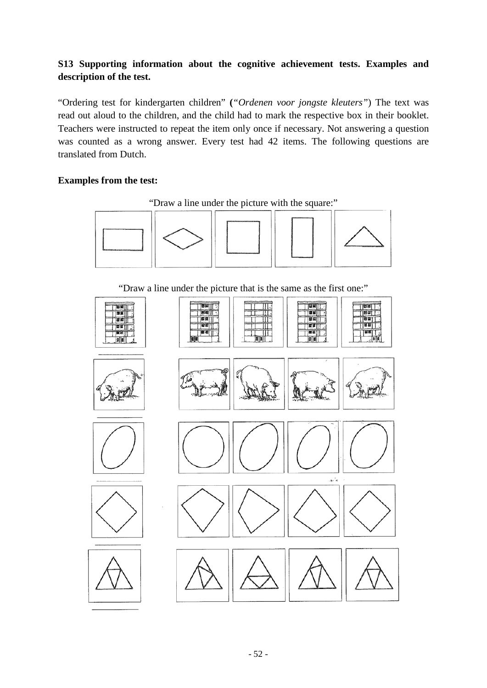## **S13 Supporting information about the cognitive achievement tests. Examples and description of the test.**

"Ordering test for kindergarten children" **(***"Ordenen voor jongste kleuters"*) The text was read out aloud to the children, and the child had to mark the respective box in their booklet. Teachers were instructed to repeat the item only once if necessary. Not answering a question was counted as a wrong answer. Every test had 42 items. The following questions are translated from Dutch.

### **Examples from the test:**



## "Draw a line under the picture that is the same as the first one:"

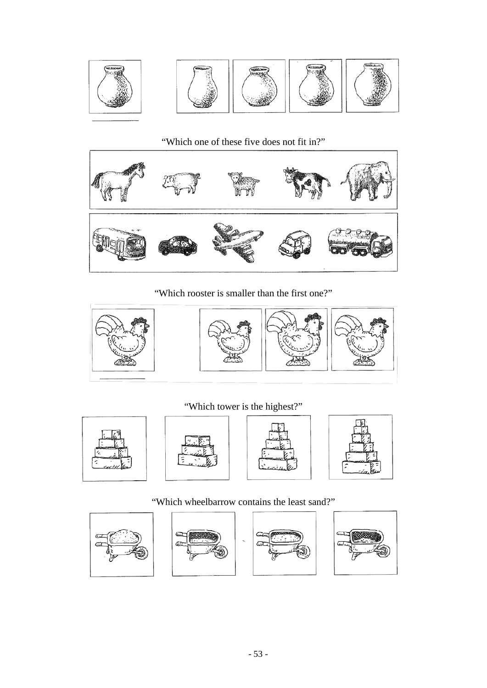

"Which one of these five does not fit in?"



"Which rooster is smaller than the first one?"



"Which tower is the highest?"



## "Which wheelbarrow contains the least sand?"